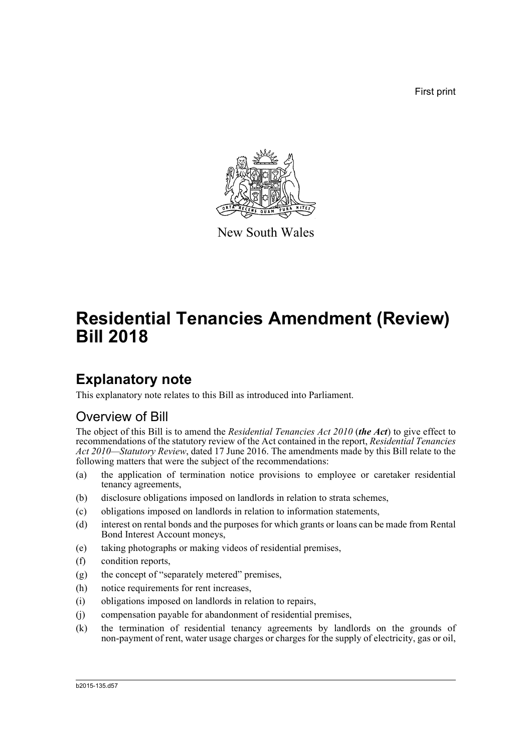First print



New South Wales

# **Residential Tenancies Amendment (Review) Bill 2018**

## **Explanatory note**

This explanatory note relates to this Bill as introduced into Parliament.

### Overview of Bill

The object of this Bill is to amend the *Residential Tenancies Act 2010* (*the Act*) to give effect to recommendations of the statutory review of the Act contained in the report, *Residential Tenancies Act 2010—Statutory Review*, dated 17 June 2016. The amendments made by this Bill relate to the following matters that were the subject of the recommendations:

- (a) the application of termination notice provisions to employee or caretaker residential tenancy agreements,
- (b) disclosure obligations imposed on landlords in relation to strata schemes,
- (c) obligations imposed on landlords in relation to information statements,
- (d) interest on rental bonds and the purposes for which grants or loans can be made from Rental Bond Interest Account moneys,
- (e) taking photographs or making videos of residential premises,
- (f) condition reports,
- (g) the concept of "separately metered" premises,
- (h) notice requirements for rent increases,
- (i) obligations imposed on landlords in relation to repairs,
- (j) compensation payable for abandonment of residential premises,
- (k) the termination of residential tenancy agreements by landlords on the grounds of non-payment of rent, water usage charges or charges for the supply of electricity, gas or oil,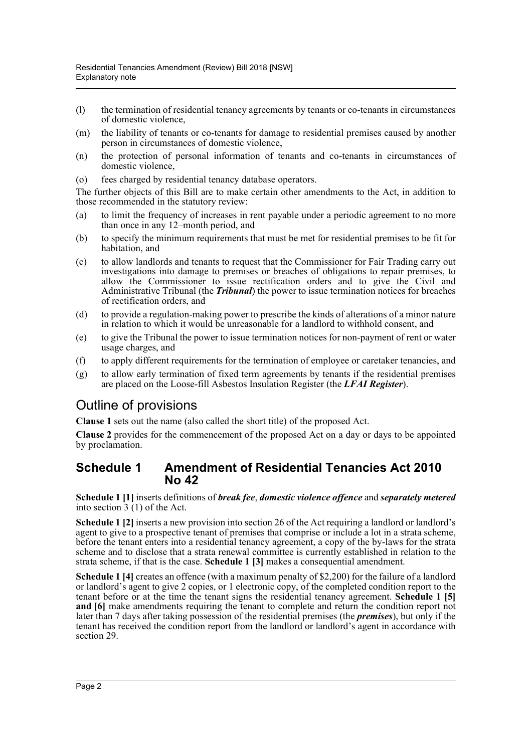- (l) the termination of residential tenancy agreements by tenants or co-tenants in circumstances of domestic violence,
- (m) the liability of tenants or co-tenants for damage to residential premises caused by another person in circumstances of domestic violence,
- (n) the protection of personal information of tenants and co-tenants in circumstances of domestic violence,
- (o) fees charged by residential tenancy database operators.

The further objects of this Bill are to make certain other amendments to the Act, in addition to those recommended in the statutory review:

- (a) to limit the frequency of increases in rent payable under a periodic agreement to no more than once in any 12–month period, and
- (b) to specify the minimum requirements that must be met for residential premises to be fit for habitation, and
- (c) to allow landlords and tenants to request that the Commissioner for Fair Trading carry out investigations into damage to premises or breaches of obligations to repair premises, to allow the Commissioner to issue rectification orders and to give the Civil and Administrative Tribunal (the *Tribunal*) the power to issue termination notices for breaches of rectification orders, and
- (d) to provide a regulation-making power to prescribe the kinds of alterations of a minor nature in relation to which it would be unreasonable for a landlord to withhold consent, and
- (e) to give the Tribunal the power to issue termination notices for non-payment of rent or water usage charges, and
- (f) to apply different requirements for the termination of employee or caretaker tenancies, and
- (g) to allow early termination of fixed term agreements by tenants if the residential premises are placed on the Loose-fill Asbestos Insulation Register (the *LFAI Register*).

### Outline of provisions

**Clause 1** sets out the name (also called the short title) of the proposed Act.

**Clause 2** provides for the commencement of the proposed Act on a day or days to be appointed by proclamation.

### **Schedule 1 Amendment of Residential Tenancies Act 2010 No 42**

**Schedule 1 [1]** inserts definitions of *break fee*, *domestic violence offence* and *separately metered* into section 3 (1) of the Act.

**Schedule 1** [2] inserts a new provision into section 26 of the Act requiring a landlord or landlord's agent to give to a prospective tenant of premises that comprise or include a lot in a strata scheme, before the tenant enters into a residential tenancy agreement, a copy of the by-laws for the strata scheme and to disclose that a strata renewal committee is currently established in relation to the strata scheme, if that is the case. **Schedule 1 [3]** makes a consequential amendment.

**Schedule 1** [4] creates an offence (with a maximum penalty of \$2,200) for the failure of a landlord or landlord's agent to give 2 copies, or 1 electronic copy, of the completed condition report to the tenant before or at the time the tenant signs the residential tenancy agreement. **Schedule 1 [5] and [6]** make amendments requiring the tenant to complete and return the condition report not later than 7 days after taking possession of the residential premises (the *premises*), but only if the tenant has received the condition report from the landlord or landlord's agent in accordance with section 29.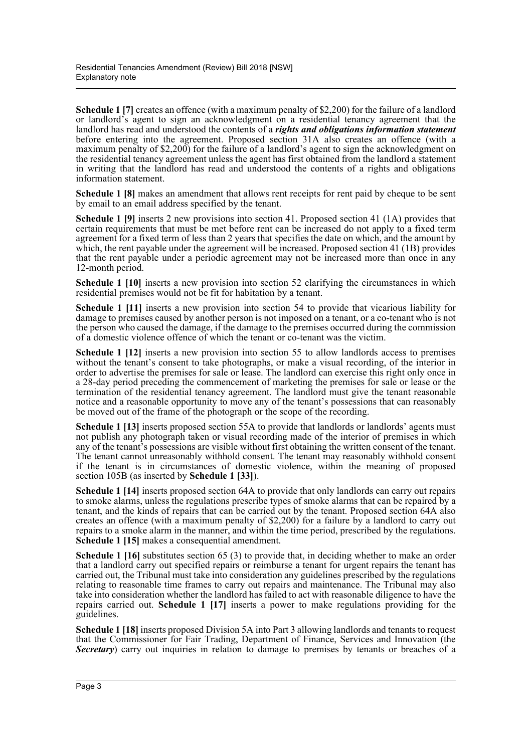**Schedule 1** [7] creates an offence (with a maximum penalty of \$2,200) for the failure of a landlord or landlord's agent to sign an acknowledgment on a residential tenancy agreement that the landlord has read and understood the contents of a *rights and obligations information statement* before entering into the agreement. Proposed section 31A also creates an offence (with a maximum penalty of \$2,200) for the failure of a landlord's agent to sign the acknowledgment on the residential tenancy agreement unless the agent has first obtained from the landlord a statement in writing that the landlord has read and understood the contents of a rights and obligations information statement.

**Schedule 1 [8]** makes an amendment that allows rent receipts for rent paid by cheque to be sent by email to an email address specified by the tenant.

**Schedule 1 [9]** inserts 2 new provisions into section 41. Proposed section 41 (1A) provides that certain requirements that must be met before rent can be increased do not apply to a fixed term agreement for a fixed term of less than 2 years that specifies the date on which, and the amount by which, the rent payable under the agreement will be increased. Proposed section 41 (1B) provides that the rent payable under a periodic agreement may not be increased more than once in any 12-month period.

**Schedule 1 [10]** inserts a new provision into section 52 clarifying the circumstances in which residential premises would not be fit for habitation by a tenant.

**Schedule 1 [11]** inserts a new provision into section 54 to provide that vicarious liability for damage to premises caused by another person is not imposed on a tenant, or a co-tenant who is not the person who caused the damage, if the damage to the premises occurred during the commission of a domestic violence offence of which the tenant or co-tenant was the victim.

**Schedule 1 [12]** inserts a new provision into section 55 to allow landlords access to premises without the tenant's consent to take photographs, or make a visual recording, of the interior in order to advertise the premises for sale or lease. The landlord can exercise this right only once in a 28-day period preceding the commencement of marketing the premises for sale or lease or the termination of the residential tenancy agreement. The landlord must give the tenant reasonable notice and a reasonable opportunity to move any of the tenant's possessions that can reasonably be moved out of the frame of the photograph or the scope of the recording.

**Schedule 1 [13]** inserts proposed section 55A to provide that landlords or landlords' agents must not publish any photograph taken or visual recording made of the interior of premises in which any of the tenant's possessions are visible without first obtaining the written consent of the tenant. The tenant cannot unreasonably withhold consent. The tenant may reasonably withhold consent if the tenant is in circumstances of domestic violence, within the meaning of proposed section 105B (as inserted by **Schedule 1 [33]**).

**Schedule 1 [14]** inserts proposed section 64A to provide that only landlords can carry out repairs to smoke alarms, unless the regulations prescribe types of smoke alarms that can be repaired by a tenant, and the kinds of repairs that can be carried out by the tenant. Proposed section 64A also creates an offence (with a maximum penalty of  $$2,200$ ) for a failure by a landlord to carry out repairs to a smoke alarm in the manner, and within the time period, prescribed by the regulations. **Schedule 1 [15]** makes a consequential amendment.

**Schedule 1 [16]** substitutes section 65 (3) to provide that, in deciding whether to make an order that a landlord carry out specified repairs or reimburse a tenant for urgent repairs the tenant has carried out, the Tribunal must take into consideration any guidelines prescribed by the regulations relating to reasonable time frames to carry out repairs and maintenance. The Tribunal may also take into consideration whether the landlord has failed to act with reasonable diligence to have the repairs carried out. **Schedule 1 [17]** inserts a power to make regulations providing for the guidelines.

**Schedule 1 [18]** inserts proposed Division 5A into Part 3 allowing landlords and tenants to request that the Commissioner for Fair Trading, Department of Finance, Services and Innovation (the **Secretary**) carry out inquiries in relation to damage to premises by tenants or breaches of a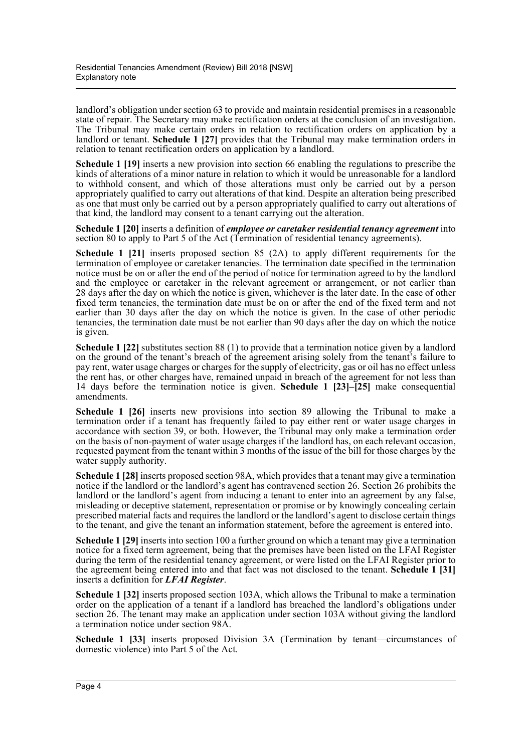landlord's obligation under section 63 to provide and maintain residential premises in a reasonable state of repair. The Secretary may make rectification orders at the conclusion of an investigation. The Tribunal may make certain orders in relation to rectification orders on application by a landlord or tenant. **Schedule 1 [27]** provides that the Tribunal may make termination orders in relation to tenant rectification orders on application by a landlord.

**Schedule 1 [19]** inserts a new provision into section 66 enabling the regulations to prescribe the kinds of alterations of a minor nature in relation to which it would be unreasonable for a landlord to withhold consent, and which of those alterations must only be carried out by a person appropriately qualified to carry out alterations of that kind. Despite an alteration being prescribed as one that must only be carried out by a person appropriately qualified to carry out alterations of that kind, the landlord may consent to a tenant carrying out the alteration.

**Schedule 1 [20]** inserts a definition of *employee or caretaker residential tenancy agreement* into section 80 to apply to Part 5 of the Act (Termination of residential tenancy agreements).

**Schedule 1 [21]** inserts proposed section 85 (2A) to apply different requirements for the termination of employee or caretaker tenancies. The termination date specified in the termination notice must be on or after the end of the period of notice for termination agreed to by the landlord and the employee or caretaker in the relevant agreement or arrangement, or not earlier than 28 days after the day on which the notice is given, whichever is the later date. In the case of other fixed term tenancies, the termination date must be on or after the end of the fixed term and not earlier than 30 days after the day on which the notice is given. In the case of other periodic tenancies, the termination date must be not earlier than 90 days after the day on which the notice is given.

**Schedule 1 [22]** substitutes section 88 (1) to provide that a termination notice given by a landlord on the ground of the tenant's breach of the agreement arising solely from the tenant's failure to pay rent, water usage charges or charges for the supply of electricity, gas or oil has no effect unless the rent has, or other charges have, remained unpaid in breach of the agreement for not less than 14 days before the termination notice is given. **Schedule 1 [23]–[25]** make consequential amendments.

**Schedule 1 [26]** inserts new provisions into section 89 allowing the Tribunal to make a termination order if a tenant has frequently failed to pay either rent or water usage charges in accordance with section 39, or both. However, the Tribunal may only make a termination order on the basis of non-payment of water usage charges if the landlord has, on each relevant occasion, requested payment from the tenant within 3 months of the issue of the bill for those charges by the water supply authority.

**Schedule 1 [28]** inserts proposed section 98A, which provides that a tenant may give a termination notice if the landlord or the landlord's agent has contravened section 26. Section 26 prohibits the landlord or the landlord's agent from inducing a tenant to enter into an agreement by any false, misleading or deceptive statement, representation or promise or by knowingly concealing certain prescribed material facts and requires the landlord or the landlord's agent to disclose certain things to the tenant, and give the tenant an information statement, before the agreement is entered into.

**Schedule 1 [29]** inserts into section 100 a further ground on which a tenant may give a termination notice for a fixed term agreement, being that the premises have been listed on the LFAI Register during the term of the residential tenancy agreement, or were listed on the LFAI Register prior to the agreement being entered into and that fact was not disclosed to the tenant. **Schedule 1 [31]** inserts a definition for *LFAI Register*.

**Schedule 1 [32]** inserts proposed section 103A, which allows the Tribunal to make a termination order on the application of a tenant if a landlord has breached the landlord's obligations under section 26. The tenant may make an application under section 103A without giving the landlord a termination notice under section 98A.

**Schedule 1 [33]** inserts proposed Division 3A (Termination by tenant—circumstances of domestic violence) into Part 5 of the Act.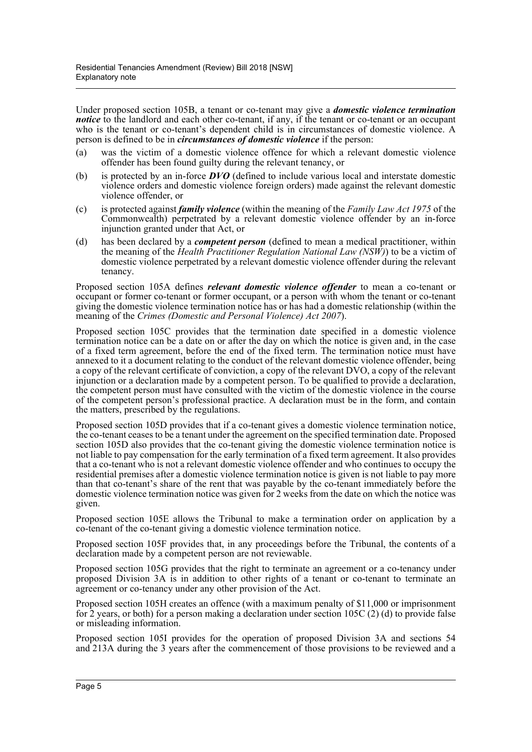Under proposed section 105B, a tenant or co-tenant may give a *domestic violence termination notice* to the landlord and each other co-tenant, if any, if the tenant or co-tenant or an occupant who is the tenant or co-tenant's dependent child is in circumstances of domestic violence. A person is defined to be in *circumstances of domestic violence* if the person:

- (a) was the victim of a domestic violence offence for which a relevant domestic violence offender has been found guilty during the relevant tenancy, or
- (b) is protected by an in-force *DVO* (defined to include various local and interstate domestic violence orders and domestic violence foreign orders) made against the relevant domestic violence offender, or
- (c) is protected against *family violence* (within the meaning of the *Family Law Act 1975* of the Commonwealth) perpetrated by a relevant domestic violence offender by an in-force injunction granted under that Act, or
- (d) has been declared by a *competent person* (defined to mean a medical practitioner, within the meaning of the *Health Practitioner Regulation National Law (NSW)*) to be a victim of domestic violence perpetrated by a relevant domestic violence offender during the relevant tenancy.

Proposed section 105A defines *relevant domestic violence offender* to mean a co-tenant or occupant or former co-tenant or former occupant, or a person with whom the tenant or co-tenant giving the domestic violence termination notice has or has had a domestic relationship (within the meaning of the *Crimes (Domestic and Personal Violence) Act 2007*).

Proposed section 105C provides that the termination date specified in a domestic violence termination notice can be a date on or after the day on which the notice is given and, in the case of a fixed term agreement, before the end of the fixed term. The termination notice must have annexed to it a document relating to the conduct of the relevant domestic violence offender, being a copy of the relevant certificate of conviction, a copy of the relevant DVO, a copy of the relevant injunction or a declaration made by a competent person. To be qualified to provide a declaration, the competent person must have consulted with the victim of the domestic violence in the course of the competent person's professional practice. A declaration must be in the form, and contain the matters, prescribed by the regulations.

Proposed section 105D provides that if a co-tenant gives a domestic violence termination notice, the co-tenant ceases to be a tenant under the agreement on the specified termination date. Proposed section 105D also provides that the co-tenant giving the domestic violence termination notice is not liable to pay compensation for the early termination of a fixed term agreement. It also provides that a co-tenant who is not a relevant domestic violence offender and who continues to occupy the residential premises after a domestic violence termination notice is given is not liable to pay more than that co-tenant's share of the rent that was payable by the co-tenant immediately before the domestic violence termination notice was given for 2 weeks from the date on which the notice was given.

Proposed section 105E allows the Tribunal to make a termination order on application by a co-tenant of the co-tenant giving a domestic violence termination notice.

Proposed section 105F provides that, in any proceedings before the Tribunal, the contents of a declaration made by a competent person are not reviewable.

Proposed section 105G provides that the right to terminate an agreement or a co-tenancy under proposed Division 3A is in addition to other rights of a tenant or co-tenant to terminate an agreement or co-tenancy under any other provision of the Act.

Proposed section 105H creates an offence (with a maximum penalty of \$11,000 or imprisonment for 2 years, or both) for a person making a declaration under section 105C (2) (d) to provide false or misleading information.

Proposed section 105I provides for the operation of proposed Division 3A and sections 54 and 213A during the 3 years after the commencement of those provisions to be reviewed and a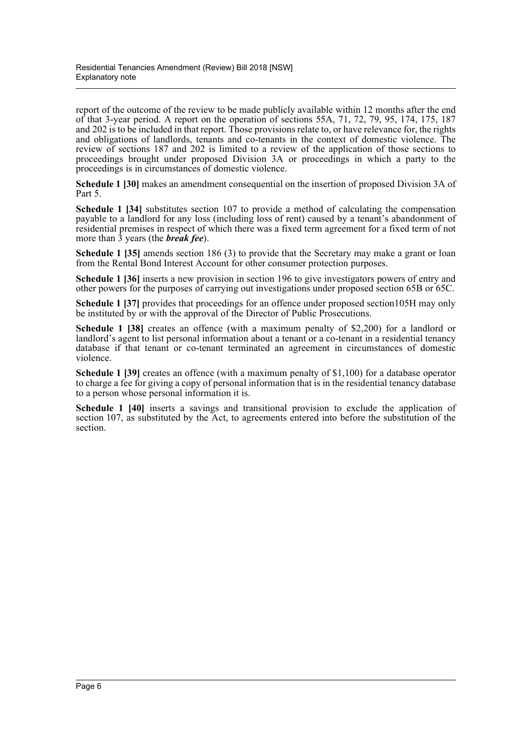report of the outcome of the review to be made publicly available within 12 months after the end of that 3-year period. A report on the operation of sections 55A, 71, 72, 79, 95, 174, 175, 187 and 202 is to be included in that report. Those provisions relate to, or have relevance for, the rights and obligations of landlords, tenants and co-tenants in the context of domestic violence. The review of sections 187 and 202 is limited to a review of the application of those sections to proceedings brought under proposed Division 3A or proceedings in which a party to the proceedings is in circumstances of domestic violence.

**Schedule 1 [30]** makes an amendment consequential on the insertion of proposed Division 3A of Part 5.

**Schedule 1 [34]** substitutes section 107 to provide a method of calculating the compensation payable to a landlord for any loss (including loss of rent) caused by a tenant's abandonment of residential premises in respect of which there was a fixed term agreement for a fixed term of not more than 3 years (the *break fee*).

**Schedule 1 [35]** amends section 186 (3) to provide that the Secretary may make a grant or loan from the Rental Bond Interest Account for other consumer protection purposes.

**Schedule 1 [36]** inserts a new provision in section 196 to give investigators powers of entry and other powers for the purposes of carrying out investigations under proposed section 65B or 65C.

**Schedule 1 [37]** provides that proceedings for an offence under proposed section105H may only be instituted by or with the approval of the Director of Public Prosecutions.

**Schedule 1 [38]** creates an offence (with a maximum penalty of \$2,200) for a landlord or landlord's agent to list personal information about a tenant or a co-tenant in a residential tenancy database if that tenant or co-tenant terminated an agreement in circumstances of domestic violence.

**Schedule 1 [39]** creates an offence (with a maximum penalty of \$1,100) for a database operator to charge a fee for giving a copy of personal information that is in the residential tenancy database to a person whose personal information it is.

**Schedule 1 [40]** inserts a savings and transitional provision to exclude the application of section 107, as substituted by the Act, to agreements entered into before the substitution of the section.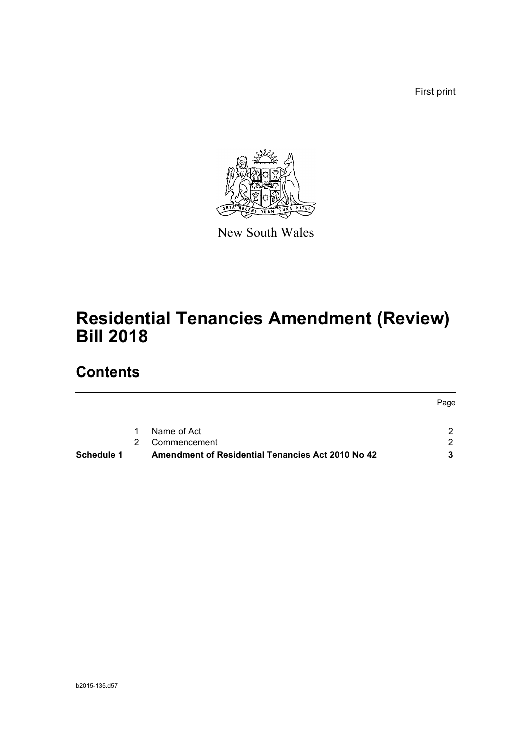First print

Page



New South Wales

# **Residential Tenancies Amendment (Review) Bill 2018**

## **Contents**

| Schedule 1 |           | Amendment of Residential Tenancies Act 2010 No 42 |             |
|------------|-----------|---------------------------------------------------|-------------|
|            |           | 2 Commencement                                    |             |
|            | $1 \quad$ | Name of Act                                       |             |
|            |           |                                                   | <b>Page</b> |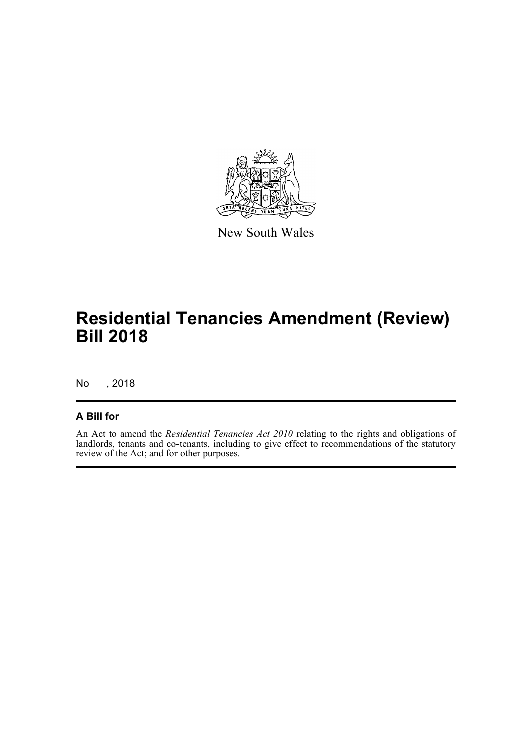

New South Wales

# **Residential Tenancies Amendment (Review) Bill 2018**

No , 2018

### **A Bill for**

An Act to amend the *Residential Tenancies Act 2010* relating to the rights and obligations of landlords, tenants and co-tenants, including to give effect to recommendations of the statutory review of the Act; and for other purposes.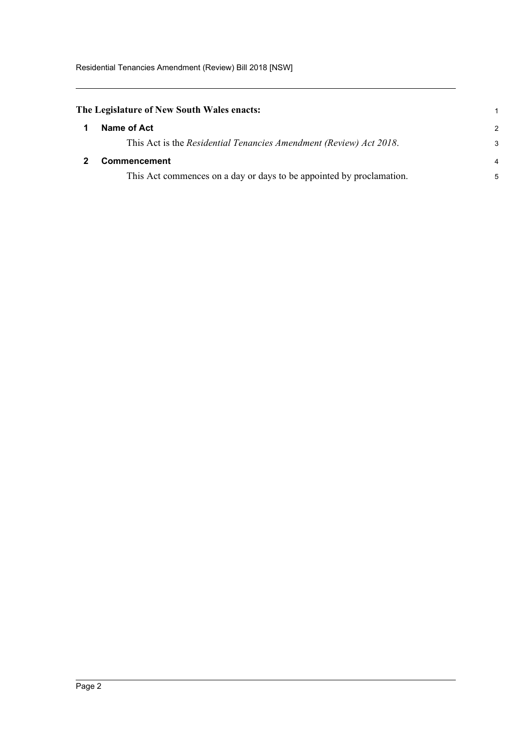<span id="page-8-0"></span>

<span id="page-8-1"></span>

| Name of Act                                                          | $\mathcal{P}$  |
|----------------------------------------------------------------------|----------------|
| This Act is the Residential Tenancies Amendment (Review) Act 2018.   | 3              |
| <b>Commencement</b>                                                  | $\overline{a}$ |
| This Act commences on a day or days to be appointed by proclamation. | 5              |

1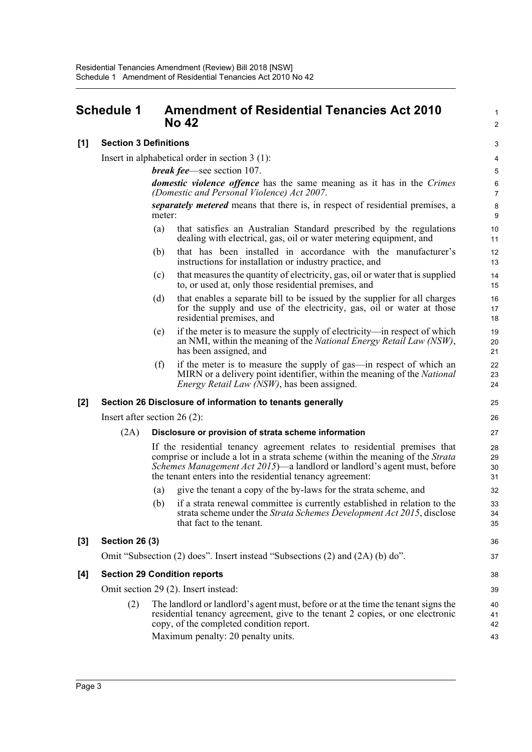### <span id="page-9-0"></span>**Schedule 1 Amendment of Residential Tenancies Act 2010 No 42**

**[1] Section 3 Definitions**

Insert in alphabetical order in section 3 (1):

*break fee*—see section 107.

*domestic violence offence* has the same meaning as it has in the *Crimes (Domestic and Personal Violence) Act 2007*. *separately metered* means that there is, in respect of residential premises, a meter:

1  $\mathcal{L}$ 

36 37

- (a) that satisfies an Australian Standard prescribed by the regulations dealing with electrical, gas, oil or water metering equipment, and
- (b) that has been installed in accordance with the manufacturer's instructions for installation or industry practice, and
- (c) that measures the quantity of electricity, gas, oil or water that is supplied to, or used at, only those residential premises, and
- (d) that enables a separate bill to be issued by the supplier for all charges for the supply and use of the electricity, gas, oil or water at those residential premises, and
- (e) if the meter is to measure the supply of electricity—in respect of which an NMI, within the meaning of the *National Energy Retail Law (NSW)*, has been assigned, and
- (f) if the meter is to measure the supply of gas—in respect of which an MIRN or a delivery point identifier, within the meaning of the *National Energy Retail Law (NSW)*, has been assigned.

#### **[2] Section 26 Disclosure of information to tenants generally**

Insert after section 26 (2):

#### (2A) **Disclosure or provision of strata scheme information**

If the residential tenancy agreement relates to residential premises that comprise or include a lot in a strata scheme (within the meaning of the *Strata Schemes Management Act 2015*)—a landlord or landlord's agent must, before the tenant enters into the residential tenancy agreement:

- (a) give the tenant a copy of the by-laws for the strata scheme, and
- (b) if a strata renewal committee is currently established in relation to the strata scheme under the *Strata Schemes Development Act 2015*, disclose that fact to the tenant.

#### **[3] Section 26 (3)**

Omit "Subsection (2) does". Insert instead "Subsections (2) and (2A) (b) do".

#### **[4] Section 29 Condition reports**

Omit section 29 (2). Insert instead:

(2) The landlord or landlord's agent must, before or at the time the tenant signs the residential tenancy agreement, give to the tenant 2 copies, or one electronic copy, of the completed condition report. Maximum penalty: 20 penalty units.

Page 3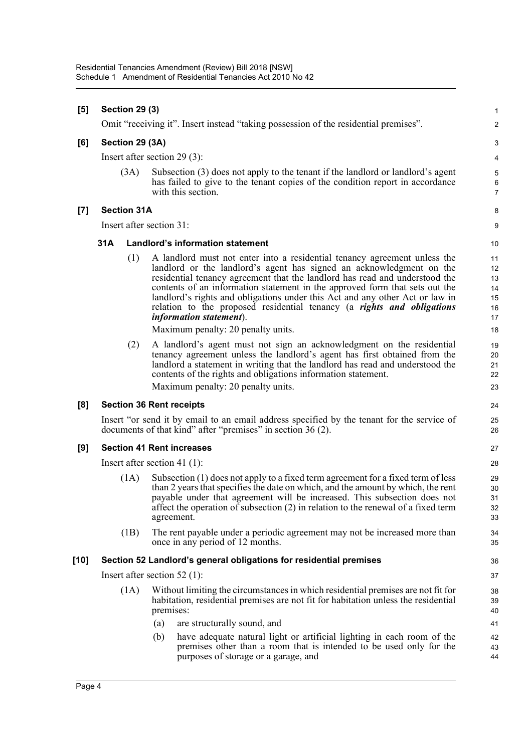| <b>Section 29 (3)</b><br>1 |                                |                                                                                                                                                                                                                                                                                                                                                                                                                                                                                                              |                                                                                                                                                                                                                                                                                                                                                                                                                                                                                                                                                                                                                                                                                                                                                                                         |  |  |  |
|----------------------------|--------------------------------|--------------------------------------------------------------------------------------------------------------------------------------------------------------------------------------------------------------------------------------------------------------------------------------------------------------------------------------------------------------------------------------------------------------------------------------------------------------------------------------------------------------|-----------------------------------------------------------------------------------------------------------------------------------------------------------------------------------------------------------------------------------------------------------------------------------------------------------------------------------------------------------------------------------------------------------------------------------------------------------------------------------------------------------------------------------------------------------------------------------------------------------------------------------------------------------------------------------------------------------------------------------------------------------------------------------------|--|--|--|
|                            |                                |                                                                                                                                                                                                                                                                                                                                                                                                                                                                                                              | $\mathbf 2$                                                                                                                                                                                                                                                                                                                                                                                                                                                                                                                                                                                                                                                                                                                                                                             |  |  |  |
| Section 29 (3A)            |                                |                                                                                                                                                                                                                                                                                                                                                                                                                                                                                                              |                                                                                                                                                                                                                                                                                                                                                                                                                                                                                                                                                                                                                                                                                                                                                                                         |  |  |  |
|                            |                                |                                                                                                                                                                                                                                                                                                                                                                                                                                                                                                              | 4                                                                                                                                                                                                                                                                                                                                                                                                                                                                                                                                                                                                                                                                                                                                                                                       |  |  |  |
|                            |                                | Subsection (3) does not apply to the tenant if the landlord or landlord's agent<br>has failed to give to the tenant copies of the condition report in accordance<br>with this section.                                                                                                                                                                                                                                                                                                                       | $\overline{5}$<br>$\,6\,$<br>$\overline{7}$                                                                                                                                                                                                                                                                                                                                                                                                                                                                                                                                                                                                                                                                                                                                             |  |  |  |
|                            |                                |                                                                                                                                                                                                                                                                                                                                                                                                                                                                                                              | 8                                                                                                                                                                                                                                                                                                                                                                                                                                                                                                                                                                                                                                                                                                                                                                                       |  |  |  |
|                            |                                |                                                                                                                                                                                                                                                                                                                                                                                                                                                                                                              | 9                                                                                                                                                                                                                                                                                                                                                                                                                                                                                                                                                                                                                                                                                                                                                                                       |  |  |  |
| 31A                        |                                |                                                                                                                                                                                                                                                                                                                                                                                                                                                                                                              | 10                                                                                                                                                                                                                                                                                                                                                                                                                                                                                                                                                                                                                                                                                                                                                                                      |  |  |  |
|                            |                                | A landlord must not enter into a residential tenancy agreement unless the<br>landlord or the landlord's agent has signed an acknowledgment on the<br>residential tenancy agreement that the landlord has read and understood the<br>contents of an information statement in the approved form that sets out the<br>landlord's rights and obligations under this Act and any other Act or law in<br>relation to the proposed residential tenancy (a rights and obligations<br><i>information statement</i> ). | 11<br>12<br>13<br>14<br>15<br>16<br>17<br>18                                                                                                                                                                                                                                                                                                                                                                                                                                                                                                                                                                                                                                                                                                                                            |  |  |  |
|                            |                                | A landlord's agent must not sign an acknowledgment on the residential<br>tenancy agreement unless the landlord's agent has first obtained from the<br>landlord a statement in writing that the landlord has read and understood the                                                                                                                                                                                                                                                                          | 19<br>20<br>21                                                                                                                                                                                                                                                                                                                                                                                                                                                                                                                                                                                                                                                                                                                                                                          |  |  |  |
|                            |                                |                                                                                                                                                                                                                                                                                                                                                                                                                                                                                                              | 22<br>23                                                                                                                                                                                                                                                                                                                                                                                                                                                                                                                                                                                                                                                                                                                                                                                |  |  |  |
|                            |                                |                                                                                                                                                                                                                                                                                                                                                                                                                                                                                                              | 24                                                                                                                                                                                                                                                                                                                                                                                                                                                                                                                                                                                                                                                                                                                                                                                      |  |  |  |
|                            |                                |                                                                                                                                                                                                                                                                                                                                                                                                                                                                                                              | 25                                                                                                                                                                                                                                                                                                                                                                                                                                                                                                                                                                                                                                                                                                                                                                                      |  |  |  |
|                            |                                |                                                                                                                                                                                                                                                                                                                                                                                                                                                                                                              | 26                                                                                                                                                                                                                                                                                                                                                                                                                                                                                                                                                                                                                                                                                                                                                                                      |  |  |  |
|                            |                                |                                                                                                                                                                                                                                                                                                                                                                                                                                                                                                              | 27                                                                                                                                                                                                                                                                                                                                                                                                                                                                                                                                                                                                                                                                                                                                                                                      |  |  |  |
|                            |                                |                                                                                                                                                                                                                                                                                                                                                                                                                                                                                                              | 28                                                                                                                                                                                                                                                                                                                                                                                                                                                                                                                                                                                                                                                                                                                                                                                      |  |  |  |
|                            |                                | Subsection (1) does not apply to a fixed term agreement for a fixed term of less<br>than 2 years that specifies the date on which, and the amount by which, the rent<br>payable under that agreement will be increased. This subsection does not<br>affect the operation of subsection $(2)$ in relation to the renewal of a fixed term<br>agreement.                                                                                                                                                        | 29<br>30<br>31<br>32<br>33                                                                                                                                                                                                                                                                                                                                                                                                                                                                                                                                                                                                                                                                                                                                                              |  |  |  |
|                            |                                | The rent payable under a periodic agreement may not be increased more than<br>once in any period of 12 months.                                                                                                                                                                                                                                                                                                                                                                                               | 34<br>35                                                                                                                                                                                                                                                                                                                                                                                                                                                                                                                                                                                                                                                                                                                                                                                |  |  |  |
|                            |                                |                                                                                                                                                                                                                                                                                                                                                                                                                                                                                                              | 36                                                                                                                                                                                                                                                                                                                                                                                                                                                                                                                                                                                                                                                                                                                                                                                      |  |  |  |
|                            | Insert after section $52$ (1): |                                                                                                                                                                                                                                                                                                                                                                                                                                                                                                              |                                                                                                                                                                                                                                                                                                                                                                                                                                                                                                                                                                                                                                                                                                                                                                                         |  |  |  |
| (1A)                       |                                | Without limiting the circumstances in which residential premises are not fit for<br>habitation, residential premises are not fit for habitation unless the residential<br>premises:                                                                                                                                                                                                                                                                                                                          | 38<br>39<br>40                                                                                                                                                                                                                                                                                                                                                                                                                                                                                                                                                                                                                                                                                                                                                                          |  |  |  |
|                            |                                | (a)<br>are structurally sound, and                                                                                                                                                                                                                                                                                                                                                                                                                                                                           | 41                                                                                                                                                                                                                                                                                                                                                                                                                                                                                                                                                                                                                                                                                                                                                                                      |  |  |  |
|                            |                                | (b)<br>premises other than a room that is intended to be used only for the<br>purposes of storage or a garage, and                                                                                                                                                                                                                                                                                                                                                                                           | 42<br>43<br>44                                                                                                                                                                                                                                                                                                                                                                                                                                                                                                                                                                                                                                                                                                                                                                          |  |  |  |
|                            |                                | (3A)<br>(1)<br>(2)<br>(1A)<br>(1B)                                                                                                                                                                                                                                                                                                                                                                                                                                                                           | Omit "receiving it". Insert instead "taking possession of the residential premises".<br>Insert after section $29(3)$ :<br><b>Section 31A</b><br>Insert after section 31:<br><b>Landlord's information statement</b><br>Maximum penalty: 20 penalty units.<br>contents of the rights and obligations information statement.<br>Maximum penalty: 20 penalty units.<br><b>Section 36 Rent receipts</b><br>Insert "or send it by email to an email address specified by the tenant for the service of<br>documents of that kind" after "premises" in section 36 (2).<br><b>Section 41 Rent increases</b><br>Insert after section 41 $(1)$ :<br>Section 52 Landlord's general obligations for residential premises<br>have adequate natural light or artificial lighting in each room of the |  |  |  |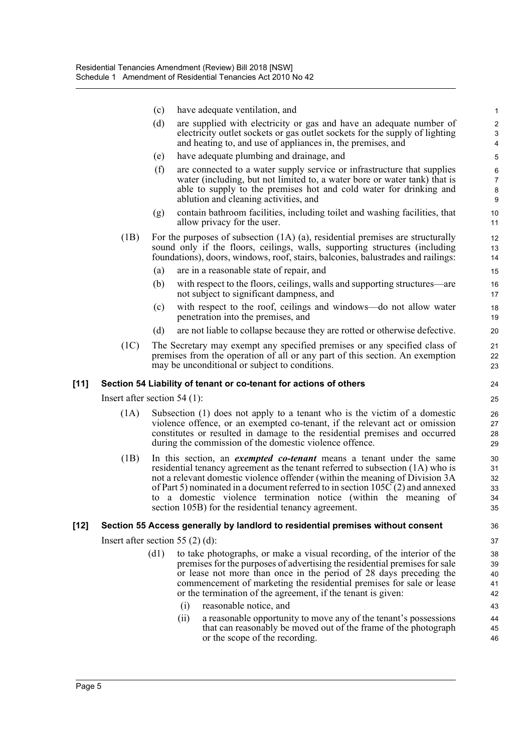|        |                                | (c)  | have adequate ventilation, and                                                                                                                                                                                                                                                                                                                                                                                                                            | $\mathbf{1}$                     |
|--------|--------------------------------|------|-----------------------------------------------------------------------------------------------------------------------------------------------------------------------------------------------------------------------------------------------------------------------------------------------------------------------------------------------------------------------------------------------------------------------------------------------------------|----------------------------------|
|        |                                | (d)  | are supplied with electricity or gas and have an adequate number of                                                                                                                                                                                                                                                                                                                                                                                       | $\overline{2}$                   |
|        |                                |      | electricity outlet sockets or gas outlet sockets for the supply of lighting<br>and heating to, and use of appliances in, the premises, and                                                                                                                                                                                                                                                                                                                | 3<br>$\overline{4}$              |
|        |                                | (e)  | have adequate plumbing and drainage, and                                                                                                                                                                                                                                                                                                                                                                                                                  | 5                                |
|        |                                | (f)  | are connected to a water supply service or infrastructure that supplies                                                                                                                                                                                                                                                                                                                                                                                   | $\,6\,$                          |
|        |                                |      | water (including, but not limited to, a water bore or water tank) that is<br>able to supply to the premises hot and cold water for drinking and<br>ablution and cleaning activities, and                                                                                                                                                                                                                                                                  | $\boldsymbol{7}$<br>$\bf 8$<br>9 |
|        |                                | (g)  | contain bathroom facilities, including toilet and washing facilities, that<br>allow privacy for the user.                                                                                                                                                                                                                                                                                                                                                 | 10<br>11                         |
|        | (1B)                           |      | For the purposes of subsection $(1A)$ $(a)$ , residential premises are structurally<br>sound only if the floors, ceilings, walls, supporting structures (including<br>foundations), doors, windows, roof, stairs, balconies, balustrades and railings:                                                                                                                                                                                                    | 12<br>13<br>14                   |
|        |                                | (a)  | are in a reasonable state of repair, and                                                                                                                                                                                                                                                                                                                                                                                                                  | 15                               |
|        |                                | (b)  | with respect to the floors, ceilings, walls and supporting structures—are<br>not subject to significant dampness, and                                                                                                                                                                                                                                                                                                                                     | 16<br>17                         |
|        |                                | (c)  | with respect to the roof, ceilings and windows—do not allow water<br>penetration into the premises, and                                                                                                                                                                                                                                                                                                                                                   | 18<br>19                         |
|        |                                | (d)  | are not liable to collapse because they are rotted or otherwise defective.                                                                                                                                                                                                                                                                                                                                                                                | 20                               |
|        | (1C)                           |      | The Secretary may exempt any specified premises or any specified class of<br>premises from the operation of all or any part of this section. An exemption<br>may be unconditional or subject to conditions.                                                                                                                                                                                                                                               | 21<br>22<br>23                   |
| $[11]$ |                                |      | Section 54 Liability of tenant or co-tenant for actions of others                                                                                                                                                                                                                                                                                                                                                                                         | 24                               |
|        | Insert after section $54$ (1): |      |                                                                                                                                                                                                                                                                                                                                                                                                                                                           | 25                               |
|        | (1A)                           |      | Subsection (1) does not apply to a tenant who is the victim of a domestic<br>violence offence, or an exempted co-tenant, if the relevant act or omission<br>constitutes or resulted in damage to the residential premises and occurred<br>during the commission of the domestic violence offence.                                                                                                                                                         | 26<br>27<br>28<br>29             |
|        | (1B)                           | to   | In this section, an <i>exempted co-tenant</i> means a tenant under the same<br>residential tenancy agreement as the tenant referred to subsection (1A) who is<br>not a relevant domestic violence offender (within the meaning of Division 3A<br>of Part 5) nominated in a document referred to in section $105C(2)$ and annexed<br>a domestic violence termination notice (within the meaning of<br>section 105B) for the residential tenancy agreement. | 30<br>31<br>32<br>33<br>34<br>35 |
| [12]   |                                |      | Section 55 Access generally by landlord to residential premises without consent                                                                                                                                                                                                                                                                                                                                                                           | 36                               |
|        |                                |      | Insert after section 55 $(2)$ (d):                                                                                                                                                                                                                                                                                                                                                                                                                        | 37                               |
|        |                                | (d1) | to take photographs, or make a visual recording, of the interior of the<br>premises for the purposes of advertising the residential premises for sale<br>or lease not more than once in the period of 28 days preceding the<br>commencement of marketing the residential premises for sale or lease<br>or the termination of the agreement, if the tenant is given:                                                                                       | 38<br>39<br>40<br>41<br>42       |
|        |                                |      | (i)<br>reasonable notice, and                                                                                                                                                                                                                                                                                                                                                                                                                             | 43                               |
|        |                                |      |                                                                                                                                                                                                                                                                                                                                                                                                                                                           |                                  |
|        |                                |      | a reasonable opportunity to move any of the tenant's possessions<br>(ii)<br>that can reasonably be moved out of the frame of the photograph<br>or the scope of the recording.                                                                                                                                                                                                                                                                             | 44<br>45<br>46                   |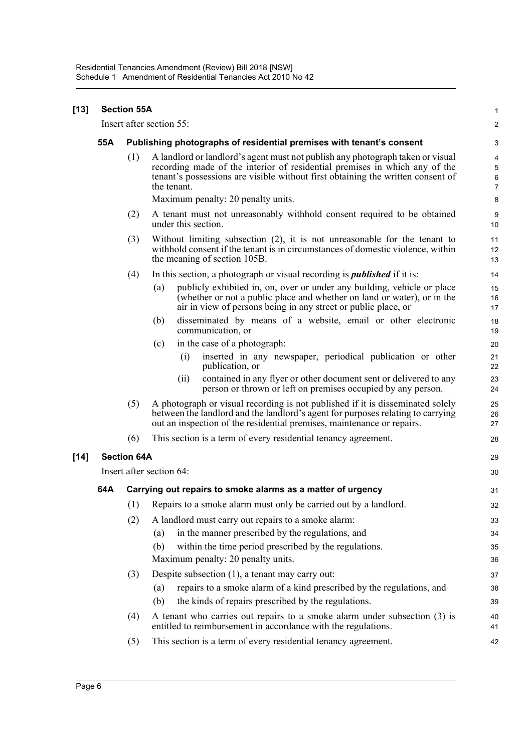| [13] | <b>Section 55A</b>       |                                                                      |                                                                                                                                                                                                                                                                |                                         |  |  |  |
|------|--------------------------|----------------------------------------------------------------------|----------------------------------------------------------------------------------------------------------------------------------------------------------------------------------------------------------------------------------------------------------------|-----------------------------------------|--|--|--|
|      |                          |                                                                      | Insert after section 55:                                                                                                                                                                                                                                       | $\overline{2}$                          |  |  |  |
|      | 55A                      | Publishing photographs of residential premises with tenant's consent |                                                                                                                                                                                                                                                                |                                         |  |  |  |
|      |                          | (1)                                                                  | A landlord or landlord's agent must not publish any photograph taken or visual<br>recording made of the interior of residential premises in which any of the<br>tenant's possessions are visible without first obtaining the written consent of<br>the tenant. | 4<br>$\mathbf 5$<br>6<br>$\overline{7}$ |  |  |  |
|      |                          |                                                                      | Maximum penalty: 20 penalty units.                                                                                                                                                                                                                             | 8                                       |  |  |  |
|      |                          | (2)                                                                  | A tenant must not unreasonably withhold consent required to be obtained<br>under this section.                                                                                                                                                                 | 9<br>10                                 |  |  |  |
|      |                          | (3)                                                                  | Without limiting subsection $(2)$ , it is not unreasonable for the tenant to<br>withhold consent if the tenant is in circumstances of domestic violence, within<br>the meaning of section 105B.                                                                | 11<br>12<br>13                          |  |  |  |
|      |                          | (4)                                                                  | In this section, a photograph or visual recording is <i>published</i> if it is:                                                                                                                                                                                | 14                                      |  |  |  |
|      |                          |                                                                      | (a)<br>publicly exhibited in, on, over or under any building, vehicle or place<br>(whether or not a public place and whether on land or water), or in the<br>air in view of persons being in any street or public place, or                                    | 15<br>16<br>17                          |  |  |  |
|      |                          |                                                                      | disseminated by means of a website, email or other electronic<br>(b)<br>communication, or                                                                                                                                                                      | 18<br>19                                |  |  |  |
|      |                          |                                                                      | in the case of a photograph:<br>(c)                                                                                                                                                                                                                            | 20                                      |  |  |  |
|      |                          |                                                                      | inserted in any newspaper, periodical publication or other<br>(i)<br>publication, or                                                                                                                                                                           | 21<br>22                                |  |  |  |
|      |                          |                                                                      | contained in any flyer or other document sent or delivered to any<br>(i)<br>person or thrown or left on premises occupied by any person.                                                                                                                       | 23<br>24                                |  |  |  |
|      |                          | (5)                                                                  | A photograph or visual recording is not published if it is disseminated solely<br>between the landlord and the landlord's agent for purposes relating to carrying<br>out an inspection of the residential premises, maintenance or repairs.                    | 25<br>26<br>27                          |  |  |  |
|      |                          | (6)                                                                  | This section is a term of every residential tenancy agreement.                                                                                                                                                                                                 | 28                                      |  |  |  |
| [14] |                          | <b>Section 64A</b>                                                   |                                                                                                                                                                                                                                                                |                                         |  |  |  |
|      | Insert after section 64: |                                                                      |                                                                                                                                                                                                                                                                |                                         |  |  |  |
|      | 64A                      | Carrying out repairs to smoke alarms as a matter of urgency          |                                                                                                                                                                                                                                                                |                                         |  |  |  |
|      |                          | (1)                                                                  | Repairs to a smoke alarm must only be carried out by a landlord.                                                                                                                                                                                               | 32                                      |  |  |  |
|      |                          | (2)                                                                  | A landlord must carry out repairs to a smoke alarm:                                                                                                                                                                                                            | 33                                      |  |  |  |
|      |                          |                                                                      | in the manner prescribed by the regulations, and<br>(a)                                                                                                                                                                                                        | 34                                      |  |  |  |
|      |                          |                                                                      | within the time period prescribed by the regulations.<br>(b)                                                                                                                                                                                                   | 35                                      |  |  |  |
|      |                          |                                                                      | Maximum penalty: 20 penalty units.                                                                                                                                                                                                                             | 36                                      |  |  |  |
|      |                          | (3)                                                                  | Despite subsection (1), a tenant may carry out:                                                                                                                                                                                                                | 37                                      |  |  |  |
|      |                          |                                                                      | repairs to a smoke alarm of a kind prescribed by the regulations, and<br>(a)<br>the kinds of repairs prescribed by the regulations.<br>(b)                                                                                                                     | 38<br>39                                |  |  |  |
|      |                          | (4)                                                                  | A tenant who carries out repairs to a smoke alarm under subsection (3) is<br>entitled to reimbursement in accordance with the regulations.                                                                                                                     | 40<br>41                                |  |  |  |
|      |                          | (5)                                                                  | This section is a term of every residential tenancy agreement.                                                                                                                                                                                                 | 42                                      |  |  |  |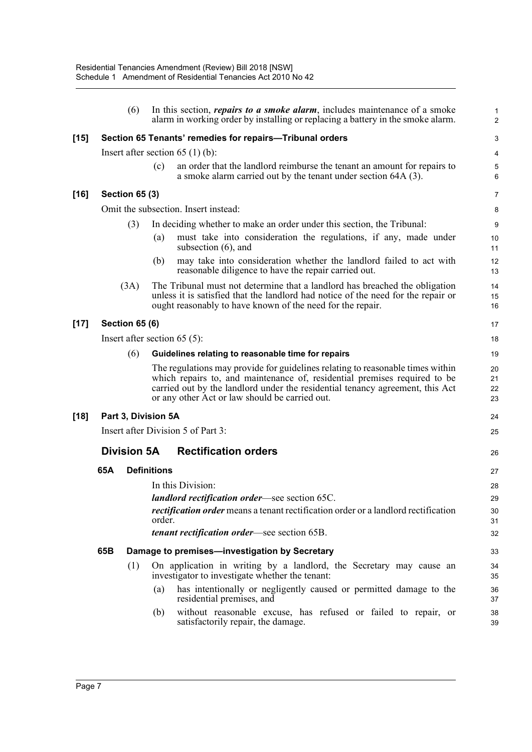|        |                                                          | (6)                   |                                                    | In this section, <i>repairs to a smoke alarm</i> , includes maintenance of a smoke<br>alarm in working order by installing or replacing a battery in the smoke alarm.                                                                                                                          | 1<br>$\overline{c}$  |  |  |
|--------|----------------------------------------------------------|-----------------------|----------------------------------------------------|------------------------------------------------------------------------------------------------------------------------------------------------------------------------------------------------------------------------------------------------------------------------------------------------|----------------------|--|--|
| $[15]$ | Section 65 Tenants' remedies for repairs-Tribunal orders |                       |                                                    |                                                                                                                                                                                                                                                                                                |                      |  |  |
|        | Insert after section $65(1)(b)$ :                        |                       |                                                    |                                                                                                                                                                                                                                                                                                |                      |  |  |
|        |                                                          |                       | (c)                                                | an order that the landlord reimburse the tenant an amount for repairs to<br>a smoke alarm carried out by the tenant under section 64A (3).                                                                                                                                                     | 5<br>6               |  |  |
| [16]   |                                                          | <b>Section 65 (3)</b> |                                                    |                                                                                                                                                                                                                                                                                                | $\overline{7}$       |  |  |
|        |                                                          |                       |                                                    | Omit the subsection. Insert instead:                                                                                                                                                                                                                                                           | 8                    |  |  |
|        |                                                          | (3)                   |                                                    | In deciding whether to make an order under this section, the Tribunal:                                                                                                                                                                                                                         | 9                    |  |  |
|        |                                                          |                       | (a)                                                | must take into consideration the regulations, if any, made under<br>subsection $(6)$ , and                                                                                                                                                                                                     | 10<br>11             |  |  |
|        |                                                          |                       | (b)                                                | may take into consideration whether the landlord failed to act with<br>reasonable diligence to have the repair carried out.                                                                                                                                                                    | 12<br>13             |  |  |
|        |                                                          | (3A)                  |                                                    | The Tribunal must not determine that a landlord has breached the obligation<br>unless it is satisfied that the landlord had notice of the need for the repair or<br>ought reasonably to have known of the need for the repair.                                                                 | 14<br>15<br>16       |  |  |
| $[17]$ | <b>Section 65 (6)</b>                                    |                       |                                                    |                                                                                                                                                                                                                                                                                                |                      |  |  |
|        | Insert after section $65(5)$ :                           |                       |                                                    |                                                                                                                                                                                                                                                                                                |                      |  |  |
|        | (6)                                                      |                       | Guidelines relating to reasonable time for repairs |                                                                                                                                                                                                                                                                                                |                      |  |  |
|        |                                                          |                       |                                                    | The regulations may provide for guidelines relating to reasonable times within<br>which repairs to, and maintenance of, residential premises required to be<br>carried out by the landlord under the residential tenancy agreement, this Act<br>or any other Act or law should be carried out. | 20<br>21<br>22<br>23 |  |  |
| [18]   |                                                          | Part 3, Division 5A   |                                                    |                                                                                                                                                                                                                                                                                                | 24                   |  |  |
|        | Insert after Division 5 of Part 3:                       |                       |                                                    |                                                                                                                                                                                                                                                                                                |                      |  |  |
|        |                                                          | <b>Division 5A</b>    |                                                    | <b>Rectification orders</b>                                                                                                                                                                                                                                                                    | 26                   |  |  |
|        | 65A                                                      |                       | <b>Definitions</b>                                 |                                                                                                                                                                                                                                                                                                | 27                   |  |  |
|        |                                                          |                       |                                                    | In this Division:                                                                                                                                                                                                                                                                              | 28                   |  |  |
|        |                                                          |                       |                                                    | landlord rectification order-see section 65C.                                                                                                                                                                                                                                                  | 29                   |  |  |
|        |                                                          |                       | order.                                             | rectification order means a tenant rectification order or a landlord rectification                                                                                                                                                                                                             | 30<br>31             |  |  |
|        |                                                          |                       |                                                    | <i>tenant rectification order</i> —see section 65B.                                                                                                                                                                                                                                            | 32                   |  |  |
|        | 65B                                                      |                       |                                                    | Damage to premises-investigation by Secretary                                                                                                                                                                                                                                                  | 33                   |  |  |
|        |                                                          | (1)                   |                                                    | On application in writing by a landlord, the Secretary may cause an<br>investigator to investigate whether the tenant:                                                                                                                                                                         | 34<br>35             |  |  |
|        |                                                          |                       | (a)                                                | has intentionally or negligently caused or permitted damage to the<br>residential premises, and                                                                                                                                                                                                | 36<br>37             |  |  |
|        |                                                          |                       | (b)                                                | without reasonable excuse, has refused or failed to repair, or<br>satisfactorily repair, the damage.                                                                                                                                                                                           | 38<br>39             |  |  |
|        |                                                          |                       |                                                    |                                                                                                                                                                                                                                                                                                |                      |  |  |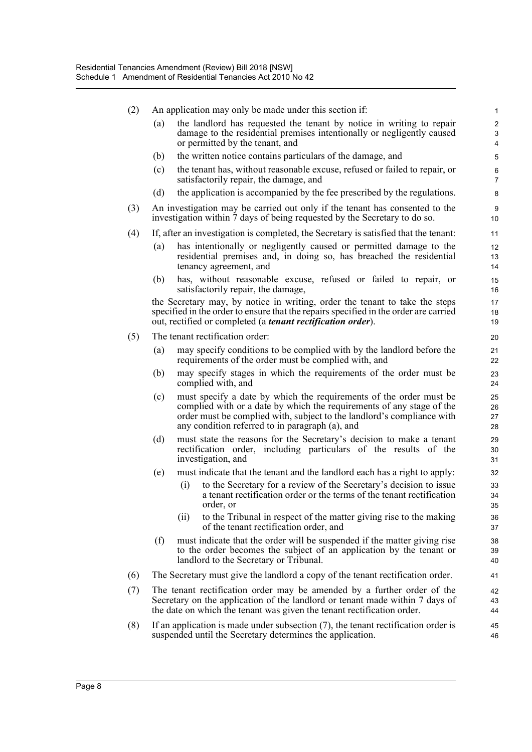| (2) | An application may only be made under this section if: |                                                                                                                                                                                                                                                                          |                                       |  |  |  |  |  |
|-----|--------------------------------------------------------|--------------------------------------------------------------------------------------------------------------------------------------------------------------------------------------------------------------------------------------------------------------------------|---------------------------------------|--|--|--|--|--|
|     | (a)                                                    | the landlord has requested the tenant by notice in writing to repair<br>damage to the residential premises intentionally or negligently caused<br>or permitted by the tenant, and                                                                                        | $\overline{2}$<br>3<br>$\overline{4}$ |  |  |  |  |  |
|     | (b)                                                    | the written notice contains particulars of the damage, and                                                                                                                                                                                                               | 5                                     |  |  |  |  |  |
|     | (c)                                                    | the tenant has, without reasonable excuse, refused or failed to repair, or<br>satisfactorily repair, the damage, and                                                                                                                                                     | 6<br>$\overline{7}$                   |  |  |  |  |  |
|     | (d)                                                    | the application is accompanied by the fee prescribed by the regulations.                                                                                                                                                                                                 | 8                                     |  |  |  |  |  |
| (3) |                                                        | An investigation may be carried out only if the tenant has consented to the<br>investigation within 7 days of being requested by the Secretary to do so.                                                                                                                 | 9<br>10 <sup>°</sup>                  |  |  |  |  |  |
| (4) |                                                        | If, after an investigation is completed, the Secretary is satisfied that the tenant:                                                                                                                                                                                     | 11                                    |  |  |  |  |  |
|     | (a)                                                    | has intentionally or negligently caused or permitted damage to the<br>residential premises and, in doing so, has breached the residential<br>tenancy agreement, and                                                                                                      | 12<br>13<br>14                        |  |  |  |  |  |
|     | (b)                                                    | has, without reasonable excuse, refused or failed to repair, or<br>satisfactorily repair, the damage,                                                                                                                                                                    | 15<br>16                              |  |  |  |  |  |
|     |                                                        | the Secretary may, by notice in writing, order the tenant to take the steps<br>specified in the order to ensure that the repairs specified in the order are carried<br>out, rectified or completed (a <i>tenant rectification order</i> ).                               | 17<br>18<br>19                        |  |  |  |  |  |
| (5) |                                                        | The tenant rectification order:                                                                                                                                                                                                                                          | 20                                    |  |  |  |  |  |
|     | (a)                                                    | may specify conditions to be complied with by the landlord before the<br>requirements of the order must be complied with, and                                                                                                                                            | 21<br>22                              |  |  |  |  |  |
|     | (b)                                                    | may specify stages in which the requirements of the order must be<br>complied with, and                                                                                                                                                                                  | 23<br>24                              |  |  |  |  |  |
|     | (c)                                                    | must specify a date by which the requirements of the order must be<br>complied with or a date by which the requirements of any stage of the<br>order must be complied with, subject to the landlord's compliance with<br>any condition referred to in paragraph (a), and | 25<br>26<br>27<br>28                  |  |  |  |  |  |
|     | (d)                                                    | must state the reasons for the Secretary's decision to make a tenant<br>rectification order, including particulars of the results of the<br>investigation, and                                                                                                           | 29<br>30<br>31                        |  |  |  |  |  |
|     | (e)                                                    | must indicate that the tenant and the landlord each has a right to apply:                                                                                                                                                                                                | 32                                    |  |  |  |  |  |
|     |                                                        | to the Secretary for a review of the Secretary's decision to issue<br>(i)<br>a tenant rectification order or the terms of the tenant rectification<br>order, or                                                                                                          | 33<br>34<br>35                        |  |  |  |  |  |
|     |                                                        | to the Tribunal in respect of the matter giving rise to the making<br>(ii)<br>of the tenant rectification order, and                                                                                                                                                     | 36<br>37                              |  |  |  |  |  |
|     | (f)                                                    | must indicate that the order will be suspended if the matter giving rise<br>to the order becomes the subject of an application by the tenant or<br>landlord to the Secretary or Tribunal.                                                                                | 38<br>39<br>40                        |  |  |  |  |  |
| (6) |                                                        | The Secretary must give the landlord a copy of the tenant rectification order.                                                                                                                                                                                           | 41                                    |  |  |  |  |  |
| (7) |                                                        | The tenant rectification order may be amended by a further order of the<br>Secretary on the application of the landlord or tenant made within 7 days of<br>the date on which the tenant was given the tenant rectification order.                                        | 42<br>43<br>44                        |  |  |  |  |  |
| (8) |                                                        | If an application is made under subsection $(7)$ , the tenant rectification order is<br>suspended until the Secretary determines the application.                                                                                                                        | 45<br>46                              |  |  |  |  |  |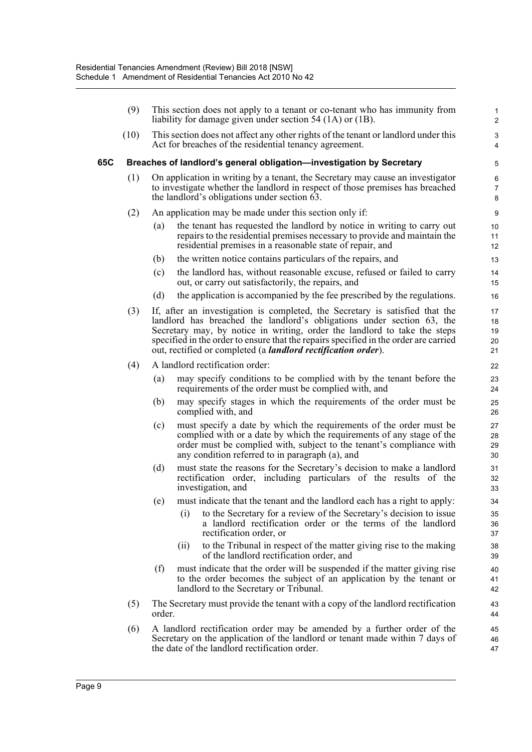|     | (9)  | This section does not apply to a tenant or co-tenant who has immunity from<br>liability for damage given under section $54$ (1A) or (1B). |                                                                                                                                                                                                                                                                                                                                                                                                      |                            |  |  |  |
|-----|------|-------------------------------------------------------------------------------------------------------------------------------------------|------------------------------------------------------------------------------------------------------------------------------------------------------------------------------------------------------------------------------------------------------------------------------------------------------------------------------------------------------------------------------------------------------|----------------------------|--|--|--|
|     | (10) |                                                                                                                                           | This section does not affect any other rights of the tenant or landlord under this<br>Act for breaches of the residential tenancy agreement.                                                                                                                                                                                                                                                         | 3<br>4                     |  |  |  |
| 65C |      |                                                                                                                                           | Breaches of landlord's general obligation-investigation by Secretary                                                                                                                                                                                                                                                                                                                                 | 5                          |  |  |  |
|     | (1)  |                                                                                                                                           | On application in writing by a tenant, the Secretary may cause an investigator<br>to investigate whether the landlord in respect of those premises has breached<br>the landlord's obligations under section 63.                                                                                                                                                                                      | 6<br>$\overline{7}$<br>8   |  |  |  |
|     | (2)  |                                                                                                                                           | An application may be made under this section only if:                                                                                                                                                                                                                                                                                                                                               | 9                          |  |  |  |
|     |      | $\left( a\right)$                                                                                                                         | the tenant has requested the landlord by notice in writing to carry out<br>repairs to the residential premises necessary to provide and maintain the<br>residential premises in a reasonable state of repair, and                                                                                                                                                                                    | 10<br>11<br>12             |  |  |  |
|     |      | (b)                                                                                                                                       | the written notice contains particulars of the repairs, and                                                                                                                                                                                                                                                                                                                                          | 13                         |  |  |  |
|     |      | (c)                                                                                                                                       | the landlord has, without reasonable excuse, refused or failed to carry<br>out, or carry out satisfactorily, the repairs, and                                                                                                                                                                                                                                                                        | 14<br>15                   |  |  |  |
|     |      | (d)                                                                                                                                       | the application is accompanied by the fee prescribed by the regulations.                                                                                                                                                                                                                                                                                                                             | 16                         |  |  |  |
|     | (3)  |                                                                                                                                           | If, after an investigation is completed, the Secretary is satisfied that the<br>landlord has breached the landlord's obligations under section 63, the<br>Secretary may, by notice in writing, order the landlord to take the steps<br>specified in the order to ensure that the repairs specified in the order are carried<br>out, rectified or completed (a <i>landlord rectification order</i> ). | 17<br>18<br>19<br>20<br>21 |  |  |  |
|     | (4)  |                                                                                                                                           | A landlord rectification order:                                                                                                                                                                                                                                                                                                                                                                      | 22                         |  |  |  |
|     |      | (a)                                                                                                                                       | may specify conditions to be complied with by the tenant before the<br>requirements of the order must be complied with, and                                                                                                                                                                                                                                                                          | 23<br>24                   |  |  |  |
|     |      | (b)                                                                                                                                       | may specify stages in which the requirements of the order must be<br>complied with, and                                                                                                                                                                                                                                                                                                              | 25<br>26                   |  |  |  |
|     |      | (c)                                                                                                                                       | must specify a date by which the requirements of the order must be<br>complied with or a date by which the requirements of any stage of the<br>order must be complied with, subject to the tenant's compliance with<br>any condition referred to in paragraph (a), and                                                                                                                               | 27<br>28<br>29<br>30       |  |  |  |
|     |      | (d)                                                                                                                                       | must state the reasons for the Secretary's decision to make a landlord<br>rectification order, including particulars of the results of the<br>investigation, and                                                                                                                                                                                                                                     | 31<br>32<br>33             |  |  |  |
|     |      |                                                                                                                                           | (e) must indicate that the tenant and the landlord each has a right to apply:                                                                                                                                                                                                                                                                                                                        | 34                         |  |  |  |
|     |      |                                                                                                                                           | to the Secretary for a review of the Secretary's decision to issue<br>(i)<br>a landlord rectification order or the terms of the landlord<br>rectification order, or                                                                                                                                                                                                                                  | 35<br>36<br>37             |  |  |  |
|     |      |                                                                                                                                           | to the Tribunal in respect of the matter giving rise to the making<br>(ii)<br>of the landlord rectification order, and                                                                                                                                                                                                                                                                               | 38<br>39                   |  |  |  |
|     |      | (f)                                                                                                                                       | must indicate that the order will be suspended if the matter giving rise<br>to the order becomes the subject of an application by the tenant or<br>landlord to the Secretary or Tribunal.                                                                                                                                                                                                            | 40<br>41<br>42             |  |  |  |
|     | (5)  | order.                                                                                                                                    | The Secretary must provide the tenant with a copy of the landlord rectification                                                                                                                                                                                                                                                                                                                      | 43<br>44                   |  |  |  |
|     | (6)  |                                                                                                                                           | A landlord rectification order may be amended by a further order of the<br>Secretary on the application of the landlord or tenant made within 7 days of<br>the date of the landlord rectification order.                                                                                                                                                                                             | 45<br>46<br>47             |  |  |  |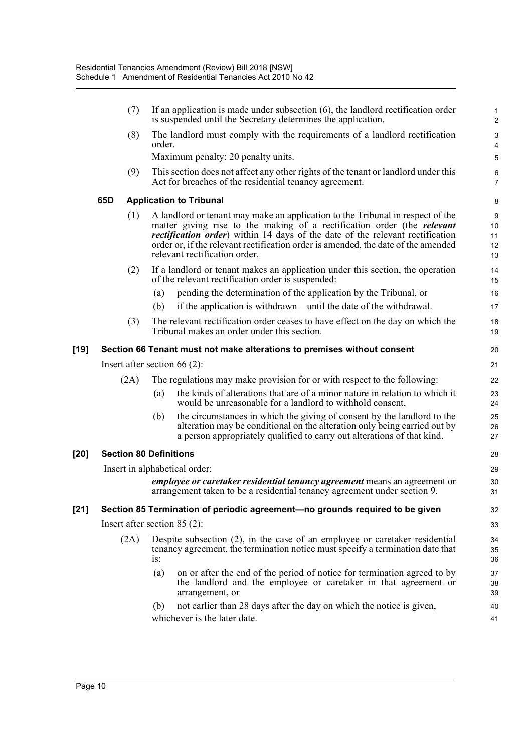|        |     | (7)  |        | If an application is made under subsection $(6)$ , the landlord rectification order<br>is suspended until the Secretary determines the application.                                                                                                                                                                                                                             | $\mathbf{1}$<br>$\overline{2}$ |
|--------|-----|------|--------|---------------------------------------------------------------------------------------------------------------------------------------------------------------------------------------------------------------------------------------------------------------------------------------------------------------------------------------------------------------------------------|--------------------------------|
|        |     | (8)  | order. | The landlord must comply with the requirements of a landlord rectification                                                                                                                                                                                                                                                                                                      | 3<br>4                         |
|        |     |      |        | Maximum penalty: 20 penalty units.                                                                                                                                                                                                                                                                                                                                              | 5                              |
|        |     | (9)  |        | This section does not affect any other rights of the tenant or landlord under this<br>Act for breaches of the residential tenancy agreement.                                                                                                                                                                                                                                    | 6<br>$\overline{7}$            |
|        | 65D |      |        | <b>Application to Tribunal</b>                                                                                                                                                                                                                                                                                                                                                  | 8                              |
|        |     | (1)  |        | A landlord or tenant may make an application to the Tribunal in respect of the<br>matter giving rise to the making of a rectification order (the <i>relevant</i><br><i>rectification order</i> ) within 14 days of the date of the relevant rectification<br>order or, if the relevant rectification order is amended, the date of the amended<br>relevant rectification order. | 9<br>10<br>11<br>12<br>13      |
|        |     | (2)  |        | If a landlord or tenant makes an application under this section, the operation<br>of the relevant rectification order is suspended:                                                                                                                                                                                                                                             | 14<br>15                       |
|        |     |      | (a)    | pending the determination of the application by the Tribunal, or                                                                                                                                                                                                                                                                                                                | 16                             |
|        |     |      | (b)    | if the application is withdrawn—until the date of the withdrawal.                                                                                                                                                                                                                                                                                                               | 17                             |
|        |     | (3)  |        | The relevant rectification order ceases to have effect on the day on which the<br>Tribunal makes an order under this section.                                                                                                                                                                                                                                                   | 18<br>19                       |
| [19]   |     |      |        | Section 66 Tenant must not make alterations to premises without consent                                                                                                                                                                                                                                                                                                         | 20                             |
|        |     |      |        | Insert after section $66(2)$ :                                                                                                                                                                                                                                                                                                                                                  | 21                             |
|        |     | (2A) |        | The regulations may make provision for or with respect to the following:                                                                                                                                                                                                                                                                                                        | 22                             |
|        |     |      | (a)    | the kinds of alterations that are of a minor nature in relation to which it<br>would be unreasonable for a landlord to withhold consent,                                                                                                                                                                                                                                        | 23<br>24                       |
|        |     |      | (b)    | the circumstances in which the giving of consent by the landlord to the<br>alteration may be conditional on the alteration only being carried out by<br>a person appropriately qualified to carry out alterations of that kind.                                                                                                                                                 | 25<br>26<br>27                 |
| [20]   |     |      |        | <b>Section 80 Definitions</b>                                                                                                                                                                                                                                                                                                                                                   | 28                             |
|        |     |      |        | Insert in alphabetical order:                                                                                                                                                                                                                                                                                                                                                   | 29                             |
|        |     |      |        | <i>employee or caretaker residential tenancy agreement</i> means an agreement or<br>arrangement taken to be a residential tenancy agreement under section 9.                                                                                                                                                                                                                    | 30<br>31                       |
| $[21]$ |     |      |        | Section 85 Termination of periodic agreement-no grounds required to be given                                                                                                                                                                                                                                                                                                    | 32                             |
|        |     |      |        | Insert after section $85(2)$ :                                                                                                                                                                                                                                                                                                                                                  | 33                             |
|        |     | (2A) | is:    | Despite subsection (2), in the case of an employee or caretaker residential<br>tenancy agreement, the termination notice must specify a termination date that                                                                                                                                                                                                                   | 34<br>35<br>36                 |
|        |     |      | (a)    | on or after the end of the period of notice for termination agreed to by<br>the landlord and the employee or caretaker in that agreement or<br>arrangement, or                                                                                                                                                                                                                  | 37<br>38<br>39                 |
|        |     |      | (b)    | not earlier than 28 days after the day on which the notice is given,<br>whichever is the later date.                                                                                                                                                                                                                                                                            | 40<br>41                       |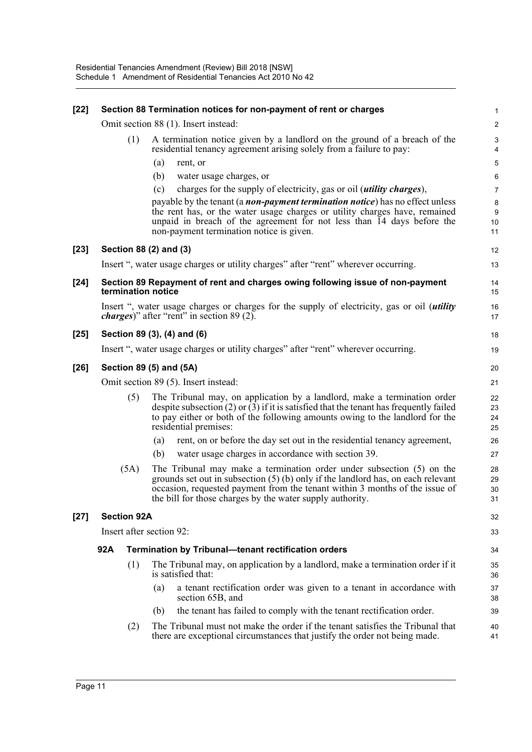| $[22]$ |                                      | Section 88 Termination notices for non-payment of rent or charges                                                                                                                                                                                                                                         | 1                       |  |  |  |
|--------|--------------------------------------|-----------------------------------------------------------------------------------------------------------------------------------------------------------------------------------------------------------------------------------------------------------------------------------------------------------|-------------------------|--|--|--|
|        |                                      | Omit section 88 (1). Insert instead:                                                                                                                                                                                                                                                                      | $\overline{\mathbf{c}}$ |  |  |  |
|        | (1)                                  | A termination notice given by a landlord on the ground of a breach of the<br>residential tenancy agreement arising solely from a failure to pay:                                                                                                                                                          | 3<br>4                  |  |  |  |
|        |                                      | (a)<br>rent, or                                                                                                                                                                                                                                                                                           | 5                       |  |  |  |
|        |                                      | (b)<br>water usage charges, or                                                                                                                                                                                                                                                                            | 6                       |  |  |  |
|        |                                      | (c)<br>charges for the supply of electricity, gas or oil ( <i>utility charges</i> ),                                                                                                                                                                                                                      | 7                       |  |  |  |
|        |                                      | payable by the tenant (a <i>non-payment termination notice</i> ) has no effect unless<br>the rent has, or the water usage charges or utility charges have, remained<br>unpaid in breach of the agreement for not less than 14 days before the<br>non-payment termination notice is given.                 | 8<br>9<br>10<br>11      |  |  |  |
| $[23]$ | Section 88 (2) and (3)               |                                                                                                                                                                                                                                                                                                           | 12                      |  |  |  |
|        |                                      | Insert ", water usage charges or utility charges" after "rent" wherever occurring.                                                                                                                                                                                                                        | 13                      |  |  |  |
| $[24]$ | termination notice                   | Section 89 Repayment of rent and charges owing following issue of non-payment                                                                                                                                                                                                                             | 14<br>15                |  |  |  |
|        |                                      | Insert ", water usage charges or charges for the supply of electricity, gas or oil <i>(utility</i> )<br><i>charges</i> )" after "rent" in section 89 (2).                                                                                                                                                 | 16<br>17                |  |  |  |
| $[25]$ |                                      | Section 89 (3), (4) and (6)                                                                                                                                                                                                                                                                               | 18                      |  |  |  |
|        |                                      | Insert ", water usage charges or utility charges" after "rent" wherever occurring.                                                                                                                                                                                                                        | 19                      |  |  |  |
| $[26]$ | Section 89 (5) and (5A)              |                                                                                                                                                                                                                                                                                                           |                         |  |  |  |
|        | Omit section 89 (5). Insert instead: |                                                                                                                                                                                                                                                                                                           |                         |  |  |  |
|        | (5)                                  | The Tribunal may, on application by a landlord, make a termination order<br>despite subsection $(2)$ or $(3)$ if it is satisfied that the tenant has frequently failed<br>to pay either or both of the following amounts owing to the landlord for the<br>residential premises:                           | 22<br>23<br>24<br>25    |  |  |  |
|        |                                      | rent, on or before the day set out in the residential tenancy agreement,<br>(a)                                                                                                                                                                                                                           | 26                      |  |  |  |
|        |                                      | (b)<br>water usage charges in accordance with section 39.                                                                                                                                                                                                                                                 | 27                      |  |  |  |
|        | (5A)                                 | The Tribunal may make a termination order under subsection $(5)$ on the<br>grounds set out in subsection $(5)$ (b) only if the landlord has, on each relevant<br>occasion, requested payment from the tenant within 3 months of the issue of<br>the bill for those charges by the water supply authority. | 28<br>29<br>30<br>31    |  |  |  |
| $[27]$ | <b>Section 92A</b>                   |                                                                                                                                                                                                                                                                                                           | 32                      |  |  |  |
|        | Insert after section 92:             |                                                                                                                                                                                                                                                                                                           | 33                      |  |  |  |
|        | 92A                                  | <b>Termination by Tribunal-tenant rectification orders</b>                                                                                                                                                                                                                                                | 34                      |  |  |  |
|        | (1)                                  | The Tribunal may, on application by a landlord, make a termination order if it<br>is satisfied that:                                                                                                                                                                                                      | 35<br>36                |  |  |  |
|        |                                      | (a)<br>a tenant rectification order was given to a tenant in accordance with<br>section 65B, and                                                                                                                                                                                                          | 37<br>38                |  |  |  |
|        |                                      | the tenant has failed to comply with the tenant rectification order.<br>(b)                                                                                                                                                                                                                               | 39                      |  |  |  |
|        | (2)                                  | The Tribunal must not make the order if the tenant satisfies the Tribunal that<br>there are exceptional circumstances that justify the order not being made.                                                                                                                                              | 40<br>41                |  |  |  |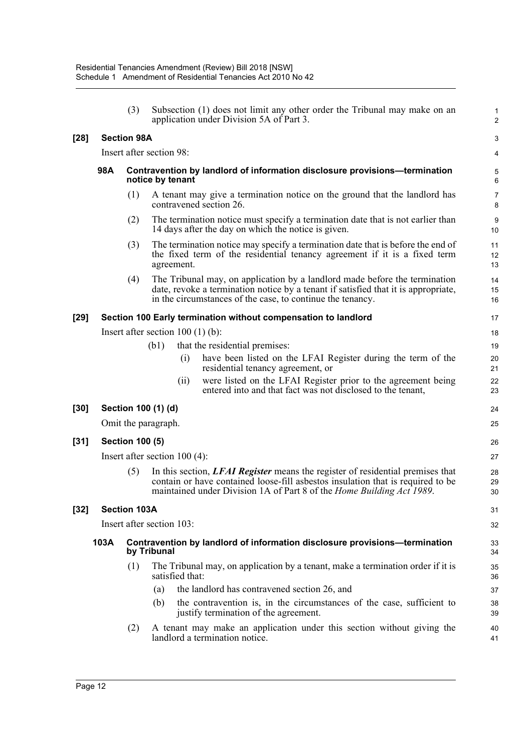|        |                                        | (3)                    |                                    | Subsection (1) does not limit any other order the Tribunal may make on an<br>application under Division 5A of Part 3.                                                                                                                      | $\mathbf{1}$<br>$\overline{2}$ |  |  |
|--------|----------------------------------------|------------------------|------------------------------------|--------------------------------------------------------------------------------------------------------------------------------------------------------------------------------------------------------------------------------------------|--------------------------------|--|--|
| $[28]$ | <b>Section 98A</b>                     |                        |                                    |                                                                                                                                                                                                                                            |                                |  |  |
|        |                                        |                        | Insert after section 98:           |                                                                                                                                                                                                                                            | 4                              |  |  |
|        | 98A                                    |                        | notice by tenant                   | Contravention by landlord of information disclosure provisions—termination                                                                                                                                                                 | 5<br>6                         |  |  |
|        |                                        | (1)                    |                                    | A tenant may give a termination notice on the ground that the landlord has<br>contravened section 26.                                                                                                                                      | $\overline{7}$<br>8            |  |  |
|        |                                        | (2)                    |                                    | The termination notice must specify a termination date that is not earlier than<br>14 days after the day on which the notice is given.                                                                                                     | 9<br>10                        |  |  |
|        |                                        | (3)                    | agreement.                         | The termination notice may specify a termination date that is before the end of<br>the fixed term of the residential tenancy agreement if it is a fixed term                                                                               | 11<br>12<br>13                 |  |  |
|        |                                        | (4)                    |                                    | The Tribunal may, on application by a landlord made before the termination<br>date, revoke a termination notice by a tenant if satisfied that it is appropriate,<br>in the circumstances of the case, to continue the tenancy.             | 14<br>15<br>16                 |  |  |
| $[29]$ |                                        |                        |                                    | Section 100 Early termination without compensation to landlord                                                                                                                                                                             | 17                             |  |  |
|        |                                        |                        | Insert after section $100(1)(b)$ : |                                                                                                                                                                                                                                            | 18                             |  |  |
|        | (b1)<br>that the residential premises: |                        |                                    |                                                                                                                                                                                                                                            |                                |  |  |
|        |                                        |                        | (i)                                | have been listed on the LFAI Register during the term of the<br>residential tenancy agreement, or                                                                                                                                          | 20<br>21                       |  |  |
|        |                                        |                        | (ii)                               | were listed on the LFAI Register prior to the agreement being<br>entered into and that fact was not disclosed to the tenant,                                                                                                               | 22<br>23                       |  |  |
| $[30]$ |                                        |                        | Section 100 (1) (d)                |                                                                                                                                                                                                                                            | 24                             |  |  |
|        |                                        |                        | Omit the paragraph.                |                                                                                                                                                                                                                                            | 25                             |  |  |
| $[31]$ |                                        | <b>Section 100 (5)</b> |                                    |                                                                                                                                                                                                                                            | 26                             |  |  |
|        |                                        |                        | Insert after section $100(4)$ :    |                                                                                                                                                                                                                                            | 27                             |  |  |
|        |                                        | (5)                    |                                    | In this section, LFAI Register means the register of residential premises that<br>contain or have contained loose-fill asbestos insulation that is required to be<br>maintained under Division 1A of Part 8 of the Home Building Act 1989. | 28<br>29<br>30                 |  |  |
| $[32]$ |                                        | <b>Section 103A</b>    |                                    |                                                                                                                                                                                                                                            | 31                             |  |  |
|        |                                        |                        | Insert after section 103:          |                                                                                                                                                                                                                                            | 32                             |  |  |
|        | 103A                                   |                        | by Tribunal                        | Contravention by landlord of information disclosure provisions-termination                                                                                                                                                                 | 33<br>34                       |  |  |
|        |                                        | (1)                    | satisfied that:                    | The Tribunal may, on application by a tenant, make a termination order if it is                                                                                                                                                            | 35<br>36                       |  |  |
|        |                                        |                        | (a)                                | the landlord has contravened section 26, and                                                                                                                                                                                               | 37                             |  |  |
|        |                                        |                        | (b)                                | the contravention is, in the circumstances of the case, sufficient to<br>justify termination of the agreement.                                                                                                                             | 38<br>39                       |  |  |
|        |                                        | (2)                    |                                    | A tenant may make an application under this section without giving the<br>landlord a termination notice.                                                                                                                                   | 40<br>41                       |  |  |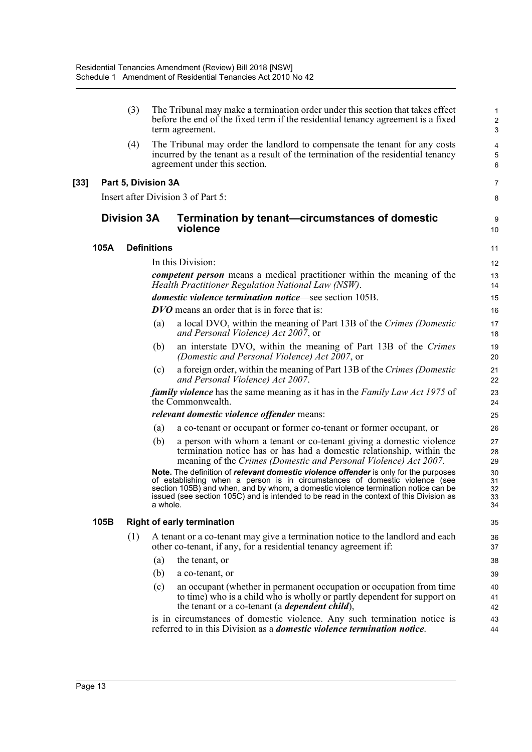|      | (3)                               |                    | The Tribunal may make a termination order under this section that takes effect<br>before the end of the fixed term if the residential tenancy agreement is a fixed<br>term agreement.                                                                                                                                                                       | $\mathbf{1}$<br>$\overline{2}$<br>3        |  |  |
|------|-----------------------------------|--------------------|-------------------------------------------------------------------------------------------------------------------------------------------------------------------------------------------------------------------------------------------------------------------------------------------------------------------------------------------------------------|--------------------------------------------|--|--|
|      | (4)                               |                    | The Tribunal may order the landlord to compensate the tenant for any costs<br>incurred by the tenant as a result of the termination of the residential tenancy<br>agreement under this section.                                                                                                                                                             | $\overline{\mathbf{4}}$<br>$\sqrt{5}$<br>6 |  |  |
|      | Part 5, Division 3A               |                    |                                                                                                                                                                                                                                                                                                                                                             | 7                                          |  |  |
|      |                                   |                    | Insert after Division 3 of Part 5:                                                                                                                                                                                                                                                                                                                          | 8                                          |  |  |
|      | <b>Division 3A</b>                |                    | Termination by tenant—circumstances of domestic<br>violence                                                                                                                                                                                                                                                                                                 | 9<br>10                                    |  |  |
| 105A |                                   | <b>Definitions</b> |                                                                                                                                                                                                                                                                                                                                                             | 11                                         |  |  |
|      |                                   |                    | In this Division:                                                                                                                                                                                                                                                                                                                                           | 12                                         |  |  |
|      |                                   |                    | <i>competent person</i> means a medical practitioner within the meaning of the<br>Health Practitioner Regulation National Law (NSW).                                                                                                                                                                                                                        | 13<br>14                                   |  |  |
|      |                                   |                    | domestic violence termination notice—see section 105B.                                                                                                                                                                                                                                                                                                      | 15                                         |  |  |
|      |                                   |                    | <b>DVO</b> means an order that is in force that is:                                                                                                                                                                                                                                                                                                         | 16                                         |  |  |
|      |                                   | (a)                | a local DVO, within the meaning of Part 13B of the Crimes (Domestic<br>and Personal Violence) Act 2007, or                                                                                                                                                                                                                                                  | 17<br>18                                   |  |  |
|      |                                   | (b)                | an interstate DVO, within the meaning of Part 13B of the Crimes<br>(Domestic and Personal Violence) Act 2007, or                                                                                                                                                                                                                                            | 19<br>20                                   |  |  |
|      |                                   | (c)                | a foreign order, within the meaning of Part 13B of the Crimes (Domestic<br>and Personal Violence) Act 2007.                                                                                                                                                                                                                                                 | 21<br>22                                   |  |  |
|      |                                   |                    | <b>family violence</b> has the same meaning as it has in the Family Law Act 1975 of<br>the Commonwealth.                                                                                                                                                                                                                                                    | 23<br>24                                   |  |  |
|      |                                   |                    | relevant domestic violence offender means:                                                                                                                                                                                                                                                                                                                  | 25                                         |  |  |
|      |                                   | (a)                | a co-tenant or occupant or former co-tenant or former occupant, or                                                                                                                                                                                                                                                                                          | 26                                         |  |  |
|      |                                   | (b)                | a person with whom a tenant or co-tenant giving a domestic violence<br>termination notice has or has had a domestic relationship, within the<br>meaning of the Crimes (Domestic and Personal Violence) Act 2007.                                                                                                                                            | 27<br>28<br>29                             |  |  |
|      |                                   | a wnole.           | Note. The definition of <i>relevant domestic violence offender</i> is only for the purposes<br>of establishing when a person is in circumstances of domestic violence (see<br>section 105B) and when, and by whom, a domestic violence termination notice can be<br>issued (see section 105C) and is intended to be read in the context of this Division as | 30<br>31<br>32<br>33<br>34                 |  |  |
| 105B | <b>Right of early termination</b> |                    |                                                                                                                                                                                                                                                                                                                                                             |                                            |  |  |
|      | (1)                               |                    | A tenant or a co-tenant may give a termination notice to the landlord and each<br>other co-tenant, if any, for a residential tenancy agreement if:                                                                                                                                                                                                          | 36<br>37                                   |  |  |
|      |                                   | (a)                | the tenant, or                                                                                                                                                                                                                                                                                                                                              | 38                                         |  |  |
|      |                                   | (b)                | a co-tenant, or                                                                                                                                                                                                                                                                                                                                             | 39                                         |  |  |
|      |                                   | (c)                | an occupant (whether in permanent occupation or occupation from time<br>to time) who is a child who is wholly or partly dependent for support on<br>the tenant or a co-tenant (a <i>dependent child</i> ),                                                                                                                                                  | 40<br>41<br>42                             |  |  |
|      |                                   |                    | is in circumstances of domestic violence. Any such termination notice is<br>referred to in this Division as a <i>domestic violence termination notice</i> .                                                                                                                                                                                                 | 43<br>44                                   |  |  |

[33]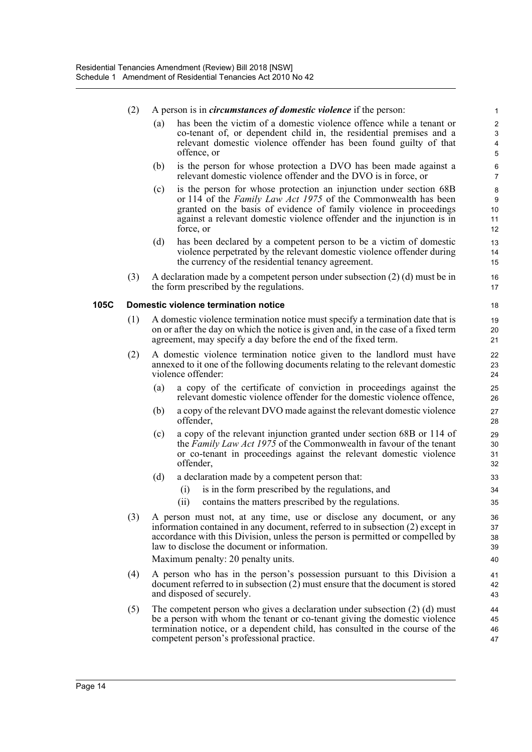|      | (2) |     | A person is in <i>circumstances of domestic violence</i> if the person:                                                                                                                                                                                                                                                       | 1                                                                      |
|------|-----|-----|-------------------------------------------------------------------------------------------------------------------------------------------------------------------------------------------------------------------------------------------------------------------------------------------------------------------------------|------------------------------------------------------------------------|
|      |     | (a) | has been the victim of a domestic violence offence while a tenant or<br>co-tenant of, or dependent child in, the residential premises and a<br>relevant domestic violence offender has been found guilty of that<br>offence, or                                                                                               | $\overline{c}$<br>$\ensuremath{\mathsf{3}}$<br>$\pmb{4}$<br>$\sqrt{5}$ |
|      |     | (b) | is the person for whose protection a DVO has been made against a<br>relevant domestic violence offender and the DVO is in force, or                                                                                                                                                                                           | 6<br>$\overline{7}$                                                    |
|      |     | (c) | is the person for whose protection an injunction under section 68B<br>or 114 of the <i>Family Law Act 1975</i> of the Commonwealth has been<br>granted on the basis of evidence of family violence in proceedings<br>against a relevant domestic violence offender and the injunction is in<br>force, or                      | 8<br>9<br>10<br>11<br>12                                               |
|      |     | (d) | has been declared by a competent person to be a victim of domestic<br>violence perpetrated by the relevant domestic violence offender during<br>the currency of the residential tenancy agreement.                                                                                                                            | 13<br>14<br>15                                                         |
|      | (3) |     | A declaration made by a competent person under subsection $(2)$ (d) must be in<br>the form prescribed by the regulations.                                                                                                                                                                                                     | 16<br>17                                                               |
| 105C |     |     | <b>Domestic violence termination notice</b>                                                                                                                                                                                                                                                                                   | 18                                                                     |
|      | (1) |     | A domestic violence termination notice must specify a termination date that is<br>on or after the day on which the notice is given and, in the case of a fixed term<br>agreement, may specify a day before the end of the fixed term.                                                                                         | 19<br>20<br>21                                                         |
|      | (2) |     | A domestic violence termination notice given to the landlord must have<br>annexed to it one of the following documents relating to the relevant domestic<br>violence offender:                                                                                                                                                | 22<br>23<br>24                                                         |
|      |     | (a) | a copy of the certificate of conviction in proceedings against the<br>relevant domestic violence offender for the domestic violence offence,                                                                                                                                                                                  | 25<br>26                                                               |
|      |     | (b) | a copy of the relevant DVO made against the relevant domestic violence<br>offender,                                                                                                                                                                                                                                           | 27<br>28                                                               |
|      |     | (c) | a copy of the relevant injunction granted under section 68B or 114 of<br>the Family Law Act 1975 of the Commonwealth in favour of the tenant<br>or co-tenant in proceedings against the relevant domestic violence<br>offender,                                                                                               | 29<br>30<br>31<br>32                                                   |
|      |     | (d) | a declaration made by a competent person that:                                                                                                                                                                                                                                                                                | 33                                                                     |
|      |     |     | is in the form prescribed by the regulations, and<br>(i)                                                                                                                                                                                                                                                                      | 34                                                                     |
|      |     |     | contains the matters prescribed by the regulations.<br>(ii)                                                                                                                                                                                                                                                                   | 35                                                                     |
|      | (3) |     | A person must not, at any time, use or disclose any document, or any<br>information contained in any document, referred to in subsection (2) except in<br>accordance with this Division, unless the person is permitted or compelled by<br>law to disclose the document or information.<br>Maximum penalty: 20 penalty units. | 36<br>37<br>38<br>39<br>40                                             |
|      | (4) |     | A person who has in the person's possession pursuant to this Division a<br>document referred to in subsection (2) must ensure that the document is stored<br>and disposed of securely.                                                                                                                                        | 41<br>42<br>43                                                         |
|      | (5) |     | The competent person who gives a declaration under subsection $(2)$ (d) must<br>be a person with whom the tenant or co-tenant giving the domestic violence<br>termination notice, or a dependent child, has consulted in the course of the<br>competent person's professional practice.                                       | 44<br>45<br>46<br>47                                                   |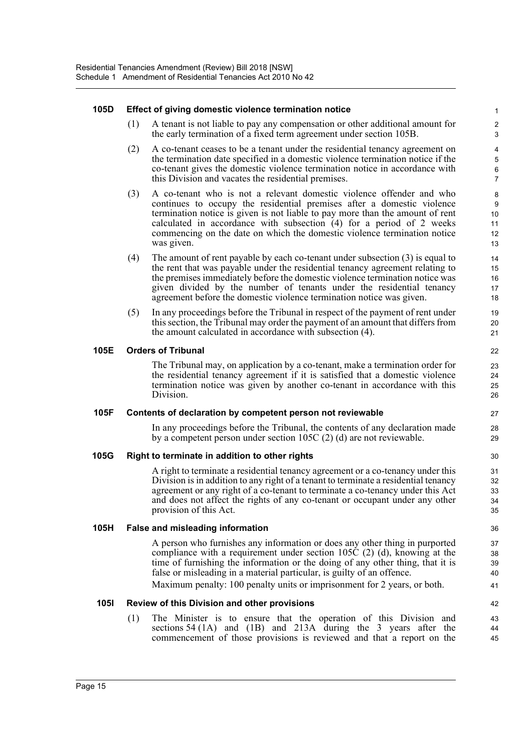#### **105D Effect of giving domestic violence termination notice**

(1) A tenant is not liable to pay any compensation or other additional amount for the early termination of a fixed term agreement under section 105B.

- (2) A co-tenant ceases to be a tenant under the residential tenancy agreement on the termination date specified in a domestic violence termination notice if the co-tenant gives the domestic violence termination notice in accordance with this Division and vacates the residential premises.
- (3) A co-tenant who is not a relevant domestic violence offender and who continues to occupy the residential premises after a domestic violence termination notice is given is not liable to pay more than the amount of rent calculated in accordance with subsection (4) for a period of 2 weeks commencing on the date on which the domestic violence termination notice was given.
- (4) The amount of rent payable by each co-tenant under subsection (3) is equal to the rent that was payable under the residential tenancy agreement relating to the premises immediately before the domestic violence termination notice was given divided by the number of tenants under the residential tenancy agreement before the domestic violence termination notice was given.
- (5) In any proceedings before the Tribunal in respect of the payment of rent under this section, the Tribunal may order the payment of an amount that differs from the amount calculated in accordance with subsection (4).

#### **105E Orders of Tribunal**

The Tribunal may, on application by a co-tenant, make a termination order for the residential tenancy agreement if it is satisfied that a domestic violence termination notice was given by another co-tenant in accordance with this Division.

#### **105F Contents of declaration by competent person not reviewable**

In any proceedings before the Tribunal, the contents of any declaration made by a competent person under section 105C (2) (d) are not reviewable.

#### **105G Right to terminate in addition to other rights**

A right to terminate a residential tenancy agreement or a co-tenancy under this Division is in addition to any right of a tenant to terminate a residential tenancy agreement or any right of a co-tenant to terminate a co-tenancy under this Act and does not affect the rights of any co-tenant or occupant under any other provision of this Act.

#### **105H False and misleading information**

A person who furnishes any information or does any other thing in purported compliance with a requirement under section 105C (2) (d), knowing at the time of furnishing the information or the doing of any other thing, that it is false or misleading in a material particular, is guilty of an offence.

Maximum penalty: 100 penalty units or imprisonment for 2 years, or both.

#### **105I Review of this Division and other provisions**

(1) The Minister is to ensure that the operation of this Division and sections 54 (1A) and (1B) and 213A during the 3 years after the commencement of those provisions is reviewed and that a report on the 43 44 45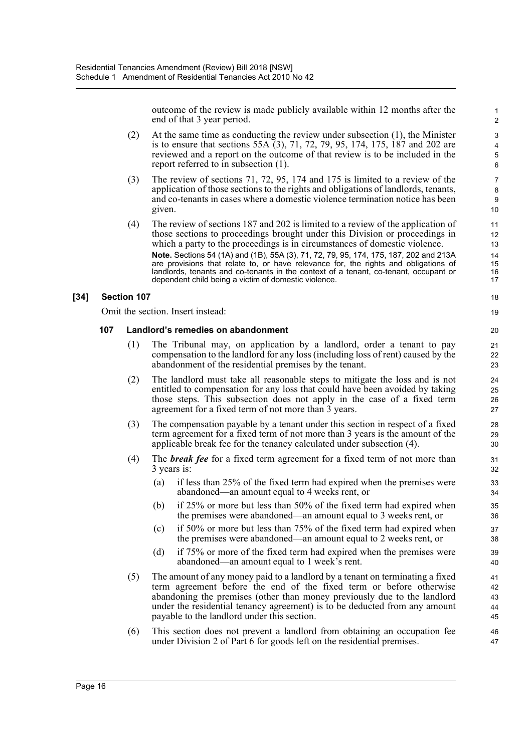outcome of the review is made publicly available within 12 months after the end of that 3 year period.

- (2) At the same time as conducting the review under subsection (1), the Minister is to ensure that sections 55A (3), 71, 72, 79, 95, 174, 175, 187 and 202 are reviewed and a report on the outcome of that review is to be included in the report referred to in subsection (1).
- (3) The review of sections 71, 72, 95, 174 and 175 is limited to a review of the application of those sections to the rights and obligations of landlords, tenants, and co-tenants in cases where a domestic violence termination notice has been given.
- (4) The review of sections 187 and 202 is limited to a review of the application of those sections to proceedings brought under this Division or proceedings in which a party to the proceedings is in circumstances of domestic violence. **Note.** Sections 54 (1A) and (1B), 55A (3), 71, 72, 79, 95, 174, 175, 187, 202 and 213A are provisions that relate to, or have relevance for, the rights and obligations of landlords, tenants and co-tenants in the context of a tenant, co-tenant, occupant or dependent child being a victim of domestic violence.

#### **[34] Section 107**

Omit the section. Insert instead:

#### **107 Landlord's remedies on abandonment**

- (1) The Tribunal may, on application by a landlord, order a tenant to pay compensation to the landlord for any loss (including loss of rent) caused by the abandonment of the residential premises by the tenant.
- (2) The landlord must take all reasonable steps to mitigate the loss and is not entitled to compensation for any loss that could have been avoided by taking those steps. This subsection does not apply in the case of a fixed term agreement for a fixed term of not more than 3 years.
- (3) The compensation payable by a tenant under this section in respect of a fixed term agreement for a fixed term of not more than 3 years is the amount of the applicable break fee for the tenancy calculated under subsection (4).
- (4) The *break fee* for a fixed term agreement for a fixed term of not more than 3 years is:
	- (a) if less than 25% of the fixed term had expired when the premises were abandoned—an amount equal to 4 weeks rent, or
	- (b) if 25% or more but less than 50% of the fixed term had expired when the premises were abandoned—an amount equal to 3 weeks rent, or
	- (c) if 50% or more but less than 75% of the fixed term had expired when the premises were abandoned—an amount equal to 2 weeks rent, or
	- (d) if 75% or more of the fixed term had expired when the premises were abandoned—an amount equal to 1 week's rent.
- (5) The amount of any money paid to a landlord by a tenant on terminating a fixed term agreement before the end of the fixed term or before otherwise abandoning the premises (other than money previously due to the landlord under the residential tenancy agreement) is to be deducted from any amount payable to the landlord under this section.
- (6) This section does not prevent a landlord from obtaining an occupation fee under Division 2 of Part 6 for goods left on the residential premises.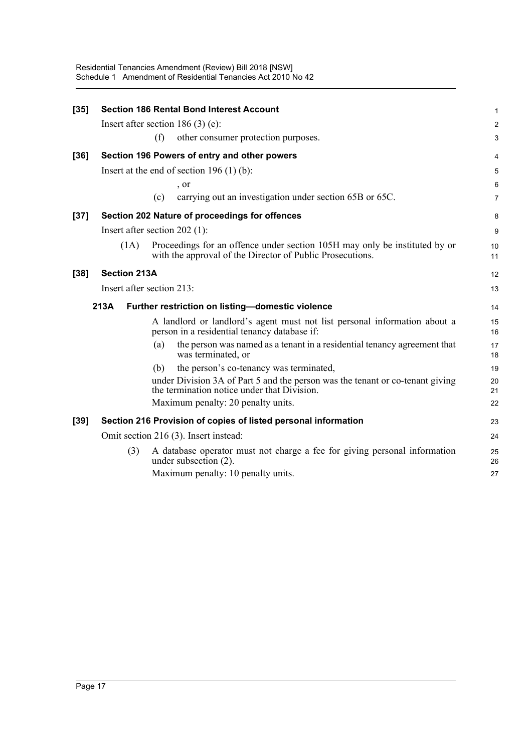| $[35]$ |                                            |     | <b>Section 186 Rental Bond Interest Account</b>                                                                                         | 1              |  |
|--------|--------------------------------------------|-----|-----------------------------------------------------------------------------------------------------------------------------------------|----------------|--|
|        |                                            |     | Insert after section $186(3)$ (e):                                                                                                      | $\overline{c}$ |  |
|        |                                            | (f) | other consumer protection purposes.                                                                                                     | 3              |  |
| $[36]$ |                                            |     | Section 196 Powers of entry and other powers                                                                                            | 4              |  |
|        | Insert at the end of section $196(1)(b)$ : |     |                                                                                                                                         |                |  |
|        |                                            |     | , or                                                                                                                                    | 6              |  |
|        |                                            | (c) | carrying out an investigation under section 65B or 65C.                                                                                 | 7              |  |
| $[37]$ |                                            |     | Section 202 Nature of proceedings for offences                                                                                          | 8              |  |
|        | Insert after section $202$ (1):            |     |                                                                                                                                         | 9              |  |
|        | (1A)                                       |     | Proceedings for an offence under section 105H may only be instituted by or<br>with the approval of the Director of Public Prosecutions. | 10<br>11       |  |
| $[38]$ | <b>Section 213A</b>                        |     |                                                                                                                                         | 12             |  |
|        | Insert after section 213:                  |     |                                                                                                                                         |                |  |
|        | 213A                                       |     | Further restriction on listing-domestic violence                                                                                        | 14             |  |
|        |                                            |     | A landlord or landlord's agent must not list personal information about a<br>person in a residential tenancy database if:               | 15<br>16       |  |
|        |                                            | (a) | the person was named as a tenant in a residential tenancy agreement that<br>was terminated, or                                          | 17<br>18       |  |
|        |                                            | (b) | the person's co-tenancy was terminated,                                                                                                 | 19             |  |
|        |                                            |     | under Division 3A of Part 5 and the person was the tenant or co-tenant giving<br>the termination notice under that Division.            | 20<br>21       |  |
|        |                                            |     | Maximum penalty: 20 penalty units.                                                                                                      | 22             |  |
| $[39]$ |                                            |     | Section 216 Provision of copies of listed personal information                                                                          | 23             |  |
|        | Omit section 216 (3). Insert instead:      |     |                                                                                                                                         |                |  |
|        | (3)                                        |     | A database operator must not charge a fee for giving personal information<br>under subsection (2).                                      | 25<br>26       |  |
|        |                                            |     | Maximum penalty: 10 penalty units.                                                                                                      | 27             |  |